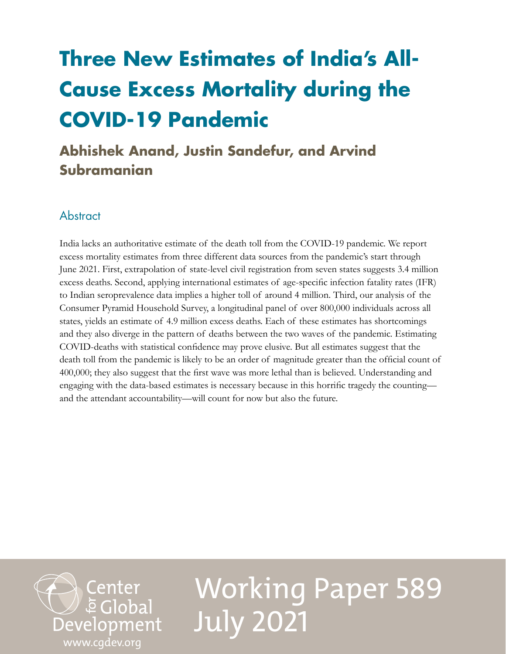## **Three New Estimates of India's All-Cause Excess Mortality during the COVID-19 Pandemic**

## **Abhishek Anand, Justin Sandefur, and Arvind Subramanian**

## **Abstract**

India lacks an authoritative estimate of the death toll from the COVID-19 pandemic. We report excess mortality estimates from three different data sources from the pandemic's start through June 2021. First, extrapolation of state-level civil registration from seven states suggests 3.4 million excess deaths. Second, applying international estimates of age-specific infection fatality rates (IFR) to Indian seroprevalence data implies a higher toll of around 4 million. Third, our analysis of the Consumer Pyramid Household Survey, a longitudinal panel of over 800,000 individuals across all states, yields an estimate of 4.9 million excess deaths. Each of these estimates has shortcomings and they also diverge in the pattern of deaths between the two waves of the pandemic. Estimating COVID-deaths with statistical confidence may prove elusive. But all estimates suggest that the death toll from the pandemic is likely to be an order of magnitude greater than the official count of 400,000; they also suggest that the first wave was more lethal than is believed. Understanding and engaging with the data-based estimates is necessary because in this horrific tragedy the counting and the attendant accountability—will count for now but also the future.



# Working Paper 589 July 2021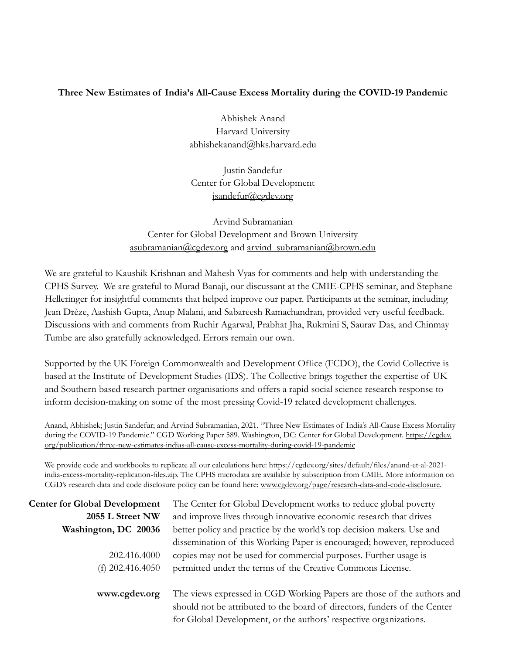#### **Three New Estimates of India's All-Cause Excess Mortality during the COVID-19 Pandemic**

Abhishek Anand Harvard University [abhishekanand@hks.harvard.edu](mailto:abhishekanand%40hks.harvard.edu?subject=)

Justin Sandefur Center for Global Development [jsandefur@cgdev.org](mailto:jsandefur%40cgdev.org?subject=)

Arvind Subramanian Center for Global Development and Brown University [asubramanian@cgdev.org](mailto:asubramanian%40cgdev.org?subject=) and [arvind\\_subramanian@brown.edu](mailto:arvind_subramanian%40brown.edu?subject=)

We are grateful to Kaushik Krishnan and Mahesh Vyas for comments and help with understanding the CPHS Survey. We are grateful to Murad Banaji, our discussant at the CMIE-CPHS seminar, and Stephane Helleringer for insightful comments that helped improve our paper. Participants at the seminar, including Jean Drèze, Aashish Gupta, Anup Malani, and Sabareesh Ramachandran, provided very useful feedback. Discussions with and comments from Ruchir Agarwal, Prabhat Jha, Rukmini S, Saurav Das, and Chinmay Tumbe are also gratefully acknowledged. Errors remain our own.

Supported by the UK Foreign Commonwealth and Development Office (FCDO), the Covid Collective is based at the Institute of Development Studies (IDS). The Collective brings together the expertise of UK and Southern based research partner organisations and offers a rapid social science research response to inform decision-making on some of the most pressing Covid-19 related development challenges.

Anand, Abhishek; Justin Sandefur; and Arvind Subramanian, 2021. "Three New Estimates of India's All-Cause Excess Mortality during the COVID-19 Pandemic." CGD Working Paper 589. Washington, DC: Center for Global Development. [https://cgdev.](https://cgdev.org/publication/three-new-estimates-indias-all-cause-excess-mortality-during-covid-19-) [org/publication/three-new-estimates-indias-all-cause-excess-mortality-during-covid-19-pandemic](https://cgdev.org/publication/three-new-estimates-indias-all-cause-excess-mortality-during-covid-19-)

We provide code and workbooks to replicate all our calculations here: [https://cgdev.org/sites/default/files/anand-et-al-2021](https://cgdev.org/sites/default/files/anand-et-al-2021-india-excess-mortality-replication-files.zip) [india-excess-mortality-replication-files.zip](https://cgdev.org/sites/default/files/anand-et-al-2021-india-excess-mortality-replication-files.zip). The CPHS microdata are available by subscription from CMIE. More information on CGD's research data and code disclosure policy can be found here: [www.cgdev.org/page/research-data-and-code-disclosure](https://www.cgdev.org/page/research-data-and-code-disclosure).

| <b>Center for Global Development</b> | The Center for Global Development works to reduce global poverty                                                                                    |
|--------------------------------------|-----------------------------------------------------------------------------------------------------------------------------------------------------|
| 2055 L Street NW                     | and improve lives through innovative economic research that drives                                                                                  |
| Washington, DC 20036                 | better policy and practice by the world's top decision makers. Use and                                                                              |
|                                      | dissemination of this Working Paper is encouraged; however, reproduced                                                                              |
| 202.416.4000                         | copies may not be used for commercial purposes. Further usage is                                                                                    |
| (f) $202.416.4050$                   | permitted under the terms of the Creative Commons License.                                                                                          |
| www.cgdev.org                        | The views expressed in CGD Working Papers are those of the authors and<br>should not be attributed to the board of directors, funders of the Center |
|                                      | for Global Development, or the authors' respective organizations.                                                                                   |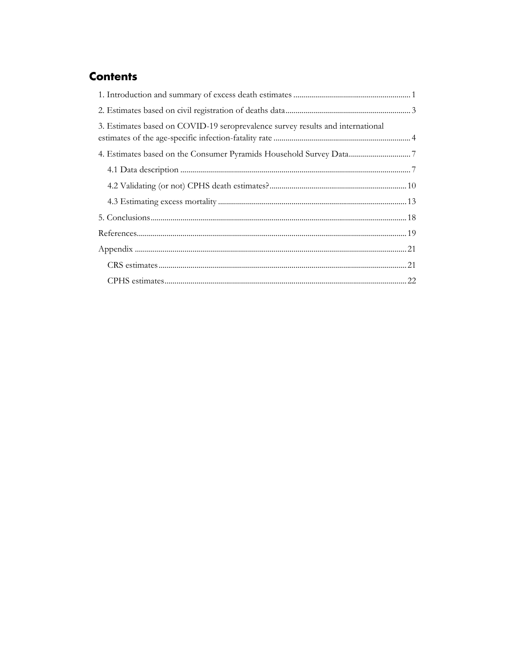## **Contents**

| 3. Estimates based on COVID-19 seroprevalence survey results and international |  |
|--------------------------------------------------------------------------------|--|
|                                                                                |  |
|                                                                                |  |
|                                                                                |  |
|                                                                                |  |
|                                                                                |  |
|                                                                                |  |
|                                                                                |  |
|                                                                                |  |
|                                                                                |  |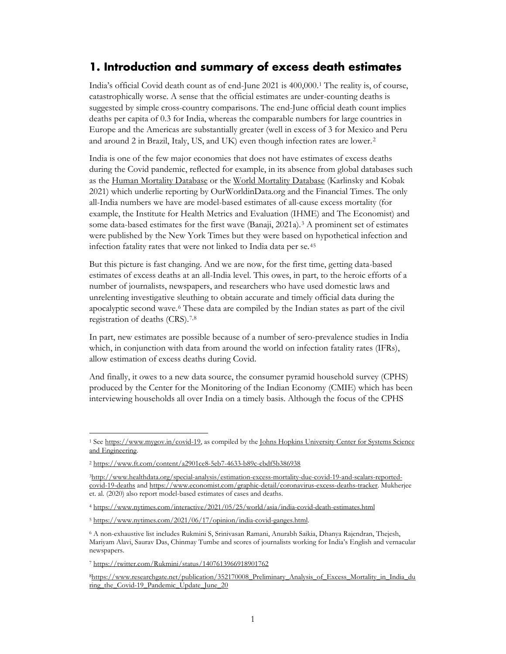### <span id="page-3-0"></span>**1. Introduction and summary of excess death estimates**

India's official Covid death count as of end-June 2021 is 400,000.[1](#page-3-1) The reality is, of course, catastrophically worse. A sense that the official estimates are under-counting deaths is suggested by simple cross-country comparisons. The end-June official death count implies deaths per capita of 0.3 for India, whereas the comparable numbers for large countries in Europe and the Americas are substantially greater (well in excess of 3 for Mexico and Peru and around 2 in Brazil, Italy, US, and UK) even though infection rates are lower.[2](#page-3-2) 

India is one of the few major economies that does not have estimates of excess deaths during the Covid pandemic, reflected for example, in its absence from global databases such as the [Human Mortality Database](https://www.mortality.org/) or the [World Mortality Database](https://github.com/akarlinsky/world_mortality) (Karlinsky and Kobak 2021) which underlie reporting by OurWorldinData.org and the Financial Times. The only all-India numbers we have are model-based estimates of all-cause excess mortality (for example, the Institute for Health Metrics and Evaluation (IHME) and The Economist) and some data-based estimates for the first wave  $(Banaji, 2021a)$ .<sup>[3](#page-3-3)</sup> A prominent set of estimates were published by the New York Times but they were based on hypothetical infection and infection fatality rates that were not linked to India data per se.[4](#page-3-4)[5](#page-3-5)

But this picture is fast changing. And we are now, for the first time, getting data-based estimates of excess deaths at an all-India level. This owes, in part, to the heroic efforts of a number of journalists, newspapers, and researchers who have used domestic laws and unrelenting investigative sleuthing to obtain accurate and timely official data during the apocalyptic second wave.[6](#page-3-6) These data are compiled by the Indian states as part of the civil registration of deaths (CRS).[7,](#page-3-7)[8](#page-3-8)

In part, new estimates are possible because of a number of sero-prevalence studies in India which, in conjunction with data from around the world on infection fatality rates (IFRs), allow estimation of excess deaths during Covid.

And finally, it owes to a new data source, the consumer pyramid household survey (CPHS) produced by the Center for the Monitoring of the Indian Economy (CMIE) which has been interviewing households all over India on a timely basis. Although the focus of the CPHS

<span id="page-3-1"></span><sup>&</sup>lt;sup>1</sup> See [https://www.mygov.in/covid-19,](https://www.mygov.in/covid-19) as compiled by the Johns Hopkins University Center for Systems Science [and Engineering.](https://github.com/CSSEGISandData/COVID-19)

<span id="page-3-2"></span><sup>2</sup> <https://www.ft.com/content/a2901ce8-5eb7-4633-b89c-cbdf5b386938>

<span id="page-3-3"></span>[<sup>3</sup>http://www.healthdata.org/special-analysis/estimation-excess-mortality-due-covid-19-and-scalars-reported](http://www.healthdata.org/special-analysis/estimation-excess-mortality-due-covid-19-and-scalars-reported-covid-19-deaths)[covid-19-deaths](http://www.healthdata.org/special-analysis/estimation-excess-mortality-due-covid-19-and-scalars-reported-covid-19-deaths) and [https://www.economist.com/graphic-detail/coronavirus-excess-deaths-tracker.](https://www.economist.com/graphic-detail/coronavirus-excess-deaths-tracker) Mukherjee et. al. (2020) also report model-based estimates of cases and deaths.

<span id="page-3-4"></span><sup>4</sup> <https://www.nytimes.com/interactive/2021/05/25/world/asia/india-covid-death-estimates.html>

<span id="page-3-5"></span><sup>5</sup> [https://www.nytimes.com/2021/06/17/opinion/india-covid-ganges.html.](https://www.nytimes.com/2021/06/17/opinion/india-covid-ganges.html) 

<span id="page-3-6"></span><sup>6</sup> A non-exhaustive list includes Rukmini S, Srinivasan Ramani, Anurabh Saikia, Dhanya Rajendran, Thejesh, Mariyam Alavi, Saurav Das, Chinmay Tumbe and scores of journalists working for India's English and vernacular newspapers.

<span id="page-3-7"></span><sup>7</sup> <https://twitter.com/Rukmini/status/1407613966918901762>

<span id="page-3-8"></span>[<sup>8</sup>https://www.researchgate.net/publication/352170008\\_Preliminary\\_Analysis\\_of\\_Excess\\_Mortality\\_in\\_India\\_du](https://www.researchgate.net/publication/352170008_Preliminary_Analysis_of_Excess_Mortality_in_India_during_the_Covid-19_Pandemic_Update_June_20) [ring\\_the\\_Covid-19\\_Pandemic\\_Update\\_June\\_20](https://www.researchgate.net/publication/352170008_Preliminary_Analysis_of_Excess_Mortality_in_India_during_the_Covid-19_Pandemic_Update_June_20)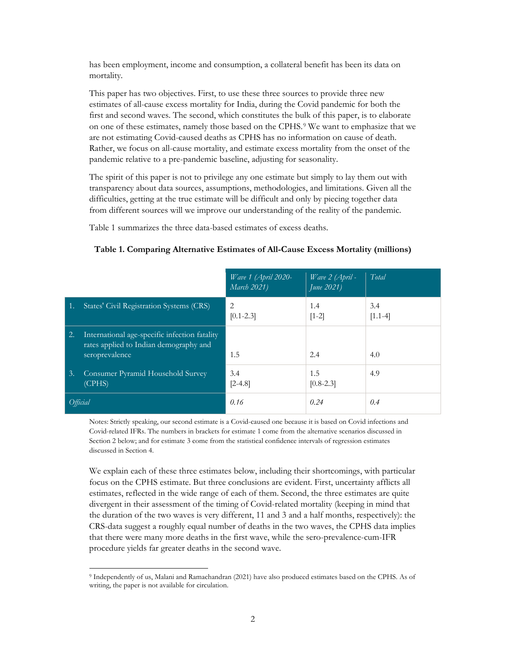has been employment, income and consumption, a collateral benefit has been its data on mortality.

This paper has two objectives. First, to use these three sources to provide three new estimates of all-cause excess mortality for India, during the Covid pandemic for both the first and second waves. The second, which constitutes the bulk of this paper, is to elaborate on one of these estimates, namely those based on the CPHS.[9](#page-4-0) We want to emphasize that we are not estimating Covid-caused deaths as CPHS has no information on cause of death. Rather, we focus on all-cause mortality, and estimate excess mortality from the onset of the pandemic relative to a pre-pandemic baseline, adjusting for seasonality.

The spirit of this paper is not to privilege any one estimate but simply to lay them out with transparency about data sources, assumptions, methodologies, and limitations. Given all the difficulties, getting at the true estimate will be difficult and only by piecing together data from different sources will we improve our understanding of the reality of the pandemic.

Table 1 summarizes the three data-based estimates of excess deaths.

|          |                                                                                                           | Wave $1$ (April 2020-<br>March 2021) | Wave 2 (April -<br>June 2021) | Total            |
|----------|-----------------------------------------------------------------------------------------------------------|--------------------------------------|-------------------------------|------------------|
| -1.      | States' Civil Registration Systems (CRS)                                                                  | $\mathfrak{D}$<br>$[0.1 - 2.3]$      | 1.4<br>$[1-2]$                | 3.4<br>$[1.1-4]$ |
| 2.       | International age-specific infection fatality<br>rates applied to Indian demography and<br>seroprevalence | 1.5                                  | 2.4                           | 4.0              |
| 3.       | Consumer Pyramid Household Survey<br>(CPHS)                                                               | 3.4<br>$[2-4.8]$                     | 1.5<br>$[0.8 - 2.3]$          | 4.9              |
| Official |                                                                                                           | 0.16                                 | 0.24                          | 0.4              |

#### **Table 1. Comparing Alternative Estimates of All-Cause Excess Mortality (millions)**

Notes: Strictly speaking, our second estimate is a Covid-caused one because it is based on Covid infections and Covid-related IFRs. The numbers in brackets for estimate 1 come from the alternative scenarios discussed in Section 2 below; and for estimate 3 come from the statistical confidence intervals of regression estimates discussed in Section 4.

We explain each of these three estimates below, including their shortcomings, with particular focus on the CPHS estimate. But three conclusions are evident. First, uncertainty afflicts all estimates, reflected in the wide range of each of them. Second, the three estimates are quite divergent in their assessment of the timing of Covid-related mortality (keeping in mind that the duration of the two waves is very different, 11 and 3 and a half months, respectively): the CRS-data suggest a roughly equal number of deaths in the two waves, the CPHS data implies that there were many more deaths in the first wave, while the sero-prevalence-cum-IFR procedure yields far greater deaths in the second wave.

<span id="page-4-0"></span><sup>9</sup> Independently of us, Malani and Ramachandran (2021) have also produced estimates based on the CPHS. As of writing, the paper is not available for circulation.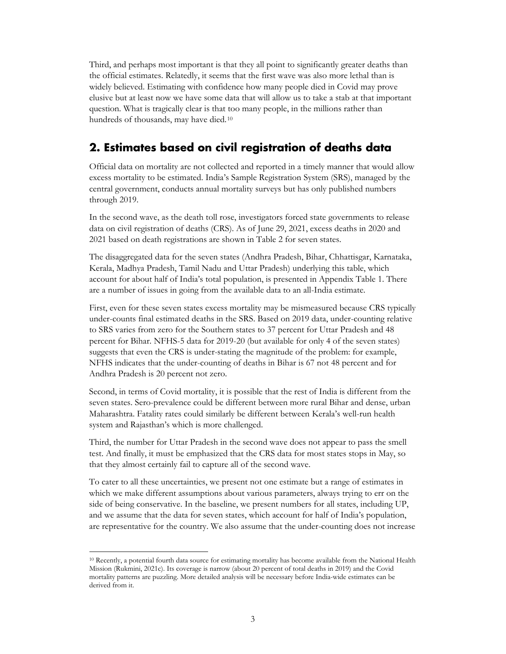Third, and perhaps most important is that they all point to significantly greater deaths than the official estimates. Relatedly, it seems that the first wave was also more lethal than is widely believed. Estimating with confidence how many people died in Covid may prove elusive but at least now we have some data that will allow us to take a stab at that important question. What is tragically clear is that too many people, in the millions rather than hundreds of thousands, may have died.[10](#page-5-1)

## <span id="page-5-0"></span>**2. Estimates based on civil registration of deaths data**

Official data on mortality are not collected and reported in a timely manner that would allow excess mortality to be estimated. India's Sample Registration System (SRS), managed by the central government, conducts annual mortality surveys but has only published numbers through 2019.

In the second wave, as the death toll rose, investigators forced state governments to release data on civil registration of deaths (CRS). As of June 29, 2021, excess deaths in 2020 and 2021 based on death registrations are shown in Table 2 for seven states.

The disaggregated data for the seven states (Andhra Pradesh, Bihar, Chhattisgar, Karnataka, Kerala, Madhya Pradesh, Tamil Nadu and Uttar Pradesh) underlying this table, which account for about half of India's total population, is presented in Appendix Table 1. There are a number of issues in going from the available data to an all-India estimate.

First, even for these seven states excess mortality may be mismeasured because CRS typically under-counts final estimated deaths in the SRS. Based on 2019 data, under-counting relative to SRS varies from zero for the Southern states to 37 percent for Uttar Pradesh and 48 percent for Bihar. NFHS-5 data for 2019-20 (but available for only 4 of the seven states) suggests that even the CRS is under-stating the magnitude of the problem: for example, NFHS indicates that the under-counting of deaths in Bihar is 67 not 48 percent and for Andhra Pradesh is 20 percent not zero.

Second, in terms of Covid mortality, it is possible that the rest of India is different from the seven states. Sero-prevalence could be different between more rural Bihar and dense, urban Maharashtra. Fatality rates could similarly be different between Kerala's well-run health system and Rajasthan's which is more challenged.

Third, the number for Uttar Pradesh in the second wave does not appear to pass the smell test. And finally, it must be emphasized that the CRS data for most states stops in May, so that they almost certainly fail to capture all of the second wave.

To cater to all these uncertainties, we present not one estimate but a range of estimates in which we make different assumptions about various parameters, always trying to err on the side of being conservative. In the baseline, we present numbers for all states, including UP, and we assume that the data for seven states, which account for half of India's population, are representative for the country. We also assume that the under-counting does not increase

<span id="page-5-1"></span><sup>10</sup> Recently, a potential fourth data source for estimating mortality has become available from the National Health Mission (Rukmini, 2021c). Its coverage is narrow (about 20 percent of total deaths in 2019) and the Covid mortality patterns are puzzling. More detailed analysis will be necessary before India-wide estimates can be derived from it.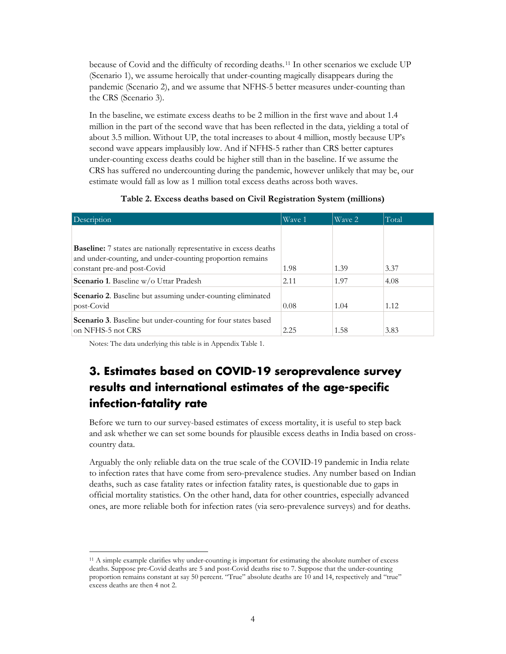because of Covid and the difficulty of recording deaths.[11](#page-6-1) In other scenarios we exclude UP (Scenario 1), we assume heroically that under-counting magically disappears during the pandemic (Scenario 2), and we assume that NFHS-5 better measures under-counting than the CRS (Scenario 3).

In the baseline, we estimate excess deaths to be 2 million in the first wave and about 1.4 million in the part of the second wave that has been reflected in the data, yielding a total of about 3.5 million. Without UP, the total increases to about 4 million, mostly because UP's second wave appears implausibly low. And if NFHS-5 rather than CRS better captures under-counting excess deaths could be higher still than in the baseline. If we assume the CRS has suffered no undercounting during the pandemic, however unlikely that may be, our estimate would fall as low as 1 million total excess deaths across both waves.

|  |  | Table 2. Excess deaths based on Civil Registration System (millions) |  |
|--|--|----------------------------------------------------------------------|--|
|  |  |                                                                      |  |

| Description                                                                                                                                                          | Wave 1 | Wave 2 | Total |
|----------------------------------------------------------------------------------------------------------------------------------------------------------------------|--------|--------|-------|
|                                                                                                                                                                      |        |        |       |
| <b>Baseline:</b> 7 states are nationally representative in excess deaths<br>and under-counting, and under-counting proportion remains<br>constant pre-and post-Covid | 1.98   | 1.39   | 3.37  |
| <b>Scenario 1.</b> Baseline w/o Uttar Pradesh                                                                                                                        | 2.11   | 1.97   | 4.08  |
| <b>Scenario 2.</b> Baseline but assuming under-counting eliminated<br>post-Covid                                                                                     | 0.08   | 1.04   | 1.12  |
| Scenario 3. Baseline but under-counting for four states based<br>on NFHS-5 not CRS                                                                                   | 2.25   | 1.58   | 3.83  |

Notes: The data underlying this table is in Appendix Table 1.

## <span id="page-6-0"></span>**3. Estimates based on COVID-19 seroprevalence survey results and international estimates of the age-specific infection-fatality rate**

Before we turn to our survey-based estimates of excess mortality, it is useful to step back and ask whether we can set some bounds for plausible excess deaths in India based on crosscountry data.

Arguably the only reliable data on the true scale of the COVID-19 pandemic in India relate to infection rates that have come from sero-prevalence studies. Any number based on Indian deaths, such as case fatality rates or infection fatality rates, is questionable due to gaps in official mortality statistics. On the other hand, data for other countries, especially advanced ones, are more reliable both for infection rates (via sero-prevalence surveys) and for deaths.

<span id="page-6-1"></span><sup>11</sup> A simple example clarifies why under-counting is important for estimating the absolute number of excess deaths. Suppose pre-Covid deaths are 5 and post-Covid deaths rise to 7. Suppose that the under-counting proportion remains constant at say 50 percent. "True" absolute deaths are 10 and 14, respectively and "true" excess deaths are then 4 not 2.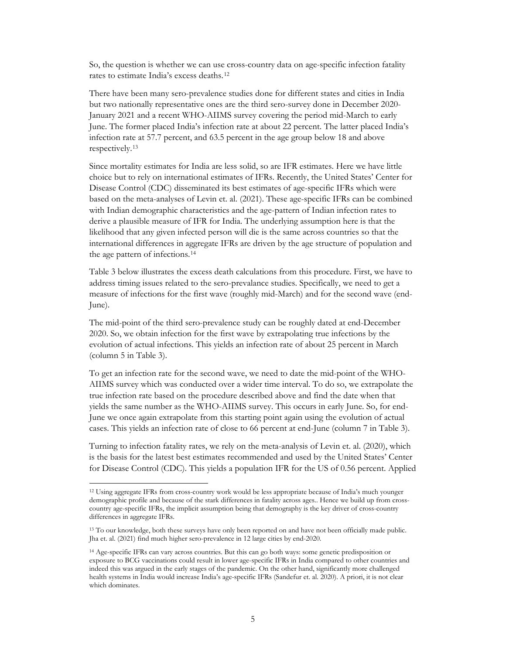So, the question is whether we can use cross-country data on age-specific infection fatality rates to estimate India's excess deaths.[12](#page-7-0)

There have been many sero-prevalence studies done for different states and cities in India but two nationally representative ones are the third sero-survey done in December 2020- January 2021 and a recent WHO-AIIMS survey covering the period mid-March to early June. The former placed India's infection rate at about 22 percent. The latter placed India's infection rate at 57.7 percent, and 63.5 percent in the age group below 18 and above respectively.[13](#page-7-1)

Since mortality estimates for India are less solid, so are IFR estimates. Here we have little choice but to rely on international estimates of IFRs. Recently, the United States' Center for Disease Control (CDC) disseminated its best estimates of age-specific IFRs which were based on the meta-analyses of Levin et. al. (2021). These age-specific IFRs can be combined with Indian demographic characteristics and the age-pattern of Indian infection rates to derive a plausible measure of IFR for India. The underlying assumption here is that the likelihood that any given infected person will die is the same across countries so that the international differences in aggregate IFRs are driven by the age structure of population and the age pattern of infections.[14](#page-7-2)

Table 3 below illustrates the excess death calculations from this procedure. First, we have to address timing issues related to the sero-prevalance studies. Specifically, we need to get a measure of infections for the first wave (roughly mid-March) and for the second wave (end-June).

The mid-point of the third sero-prevalence study can be roughly dated at end-December 2020. So, we obtain infection for the first wave by extrapolating true infections by the evolution of actual infections. This yields an infection rate of about 25 percent in March (column 5 in Table 3).

To get an infection rate for the second wave, we need to date the mid-point of the WHO-AIIMS survey which was conducted over a wider time interval. To do so, we extrapolate the true infection rate based on the procedure described above and find the date when that yields the same number as the WHO-AIIMS survey. This occurs in early June. So, for end-June we once again extrapolate from this starting point again using the evolution of actual cases. This yields an infection rate of close to 66 percent at end-June (column 7 in Table 3).

Turning to infection fatality rates, we rely on the meta-analysis of Levin et. al. (2020), which is the basis for the latest best estimates recommended and used by the United States' Center for Disease Control (CDC). This yields a population IFR for the US of 0.56 percent. Applied

<span id="page-7-0"></span><sup>12</sup> Using aggregate IFRs from cross-country work would be less appropriate because of India's much younger demographic profile and because of the stark differences in fatality across ages.. Hence we build up from crosscountry age-specific IFRs, the implicit assumption being that demography is the key driver of cross-country differences in aggregate IFRs.

<span id="page-7-1"></span><sup>&</sup>lt;sup>13</sup> To our knowledge, both these surveys have only been reported on and have not been officially made public. Jha et. al. (2021) find much higher sero-prevalence in 12 large cities by end-2020.

<span id="page-7-2"></span><sup>14</sup> Age-specific IFRs can vary across countries. But this can go both ways: some genetic predisposition or exposure to BCG vaccinations could result in lower age-specific IFRs in India compared to other countries and indeed this was argued in the early stages of the pandemic. On the other hand, significantly more challenged health systems in India would increase India's age-specific IFRs (Sandefur et. al. 2020). A priori, it is not clear which dominates.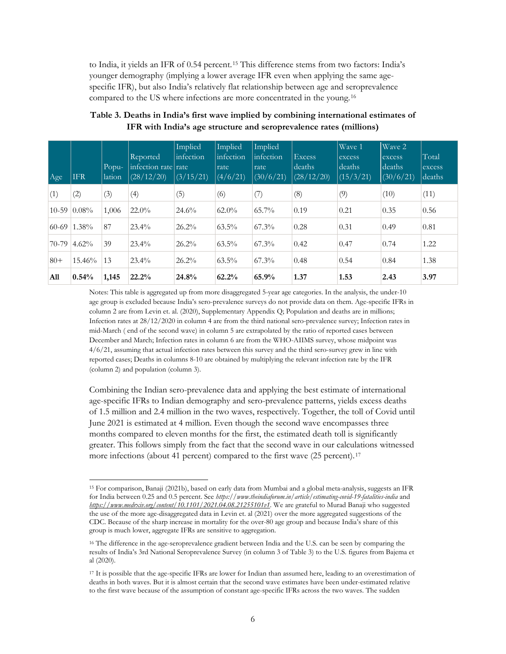to India, it yields an IFR of 0.54 percent.[15](#page-8-0) This difference stems from two factors: India's younger demography (implying a lower average IFR even when applying the same agespecific IFR), but also India's relatively flat relationship between age and seroprevalence compared to the US where infections are more concentrated in the young.[16](#page-8-1)

| Age       | <b>IFR</b> | Popu-<br>lation | Reported<br>infection rate rate<br>(28/12/20) | Implied<br>linfection<br>(3/15/21) | Implied<br>infection<br>rate<br>(4/6/21) | Implied<br>linfection<br>rate<br>(30/6/21) | <b>Excess</b><br>deaths<br>(28/12/20) | Wave 1<br>excess<br>  deaths<br>(15/3/21) | Wave 2<br>excess<br>deaths<br>(30/6/21) | Total<br>excess<br>deaths |
|-----------|------------|-----------------|-----------------------------------------------|------------------------------------|------------------------------------------|--------------------------------------------|---------------------------------------|-------------------------------------------|-----------------------------------------|---------------------------|
| (1)       | (2)        | (3)             | (4)                                           | (5)                                | (6)                                      | (7)                                        | (8)                                   | (9)                                       | (10)                                    | (11)                      |
| $10 - 59$ | $0.08\%$   | 1,006           | $22.0\%$                                      | 24.6%                              | $62.0\%$                                 | $65.7\%$                                   | 0.19                                  | 0.21                                      | 0.35                                    | 0.56                      |
| $60-69$   | $1.38\%$   | 87              | $23.4\%$                                      | $26.2\%$                           | $63.5\%$                                 | $67.3\%$                                   | 0.28                                  | 0.31                                      | 0.49                                    | 0.81                      |
| 70-79     | 4.62%      | 39              | $23.4\%$                                      | $26.2\%$                           | $63.5\%$                                 | $67.3\%$                                   | 0.42                                  | 0.47                                      | 0.74                                    | 1.22                      |
| $80+$     | 15.46%     | 13              | 23.4%                                         | 26.2%                              | $63.5\%$                                 | $67.3\%$                                   | 0.48                                  | 0.54                                      | 0.84                                    | 1.38                      |
| All       | 0.54%      | 1,145           | 22.2%                                         | 24.8%                              | 62.2%                                    | 65.9%                                      | 1.37                                  | 1.53                                      | 2.43                                    | 3.97                      |

**Table 3. Deaths in India's first wave implied by combining international estimates of IFR with India's age structure and seroprevalence rates (millions)**

Notes: This table is aggregated up from more disaggregated 5-year age categories. In the analysis, the under-10 age group is excluded because India's sero-prevalence surveys do not provide data on them. Age-specific IFRs in column 2 are from Levin et. al. (2020), Supplementary Appendix Q; Population and deaths are in millions; Infection rates at 28/12/2020 in column 4 are from the third national sero-prevalence survey; Infection rates in mid-March ( end of the second wave) in column 5 are extrapolated by the ratio of reported cases between December and March; Infection rates in column 6 are from the WHO-AIIMS survey, whose midpoint was 4/6/21, assuming that actual infection rates between this survey and the third sero-survey grew in line with reported cases; Deaths in columns 8-10 are obtained by multiplying the relevant infection rate by the IFR (column 2) and population (column 3).

Combining the Indian sero-prevalence data and applying the best estimate of international age-specific IFRs to Indian demography and sero-prevalence patterns, yields excess deaths of 1.5 million and 2.4 million in the two waves, respectively. Together, the toll of Covid until June 2021 is estimated at 4 million. Even though the second wave encompasses three months compared to eleven months for the first, the estimated death toll is significantly greater. This follows simply from the fact that the second wave in our calculations witnessed more infections (about 41 percent) compared to the first wave (25 percent).<sup>[17](#page-8-2)</sup>

<span id="page-8-0"></span><sup>15</sup> For comparison, Banaji (2021b), based on early data from Mumbai and a global meta-analysis, suggests an IFR for India between 0.25 and 0.5 percent. See *<https://www.theindiaforum.in/article/estimating-covid-19-fatalities-india>* and *<https://www.medrxiv.org/content/10.1101/2021.04.08.21255101v1>*. We are grateful to Murad Banaji who suggested the use of the more age-disaggregated data in Levin et. al (2021) over the more aggregated suggestions of the CDC. Because of the sharp increase in mortality for the over-80 age group and because India's share of this group is much lower, aggregate IFRs are sensitive to aggregation.

<span id="page-8-1"></span><sup>&</sup>lt;sup>16</sup> The difference in the age-seroprevalence gradient between India and the U.S. can be seen by comparing the results of India's 3rd National Seroprevalence Survey (in column 3 of Table 3) to the U.S. figures from Bajema et al (2020).

<span id="page-8-2"></span><sup>17</sup> It is possible that the age-specific IFRs are lower for Indian than assumed here, leading to an overestimation of deaths in both waves. But it is almost certain that the second wave estimates have been under-estimated relative to the first wave because of the assumption of constant age-specific IFRs across the two waves. The sudden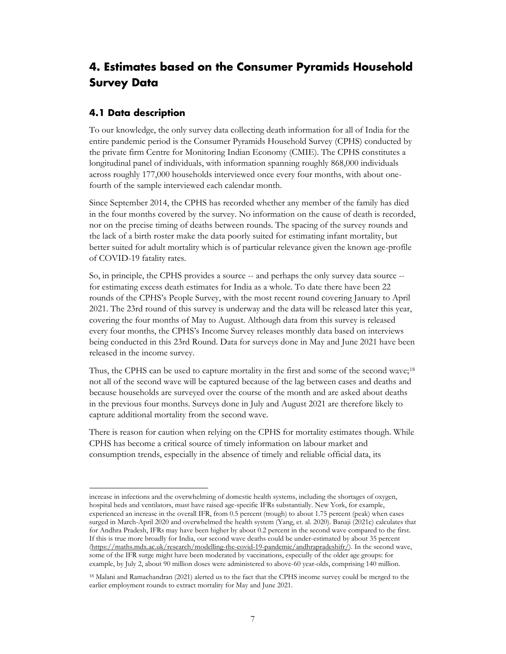## <span id="page-9-0"></span>**4. Estimates based on the Consumer Pyramids Household Survey Data**

#### <span id="page-9-1"></span>**4.1 Data description**

To our knowledge, the only survey data collecting death information for all of India for the entire pandemic period is the Consumer Pyramids Household Survey (CPHS) conducted by the private firm Centre for Monitoring Indian Economy (CMIE). The CPHS constitutes a longitudinal panel of individuals, with information spanning roughly 868,000 individuals across roughly 177,000 households interviewed once every four months, with about onefourth of the sample interviewed each calendar month.

Since September 2014, the CPHS has recorded whether any member of the family has died in the four months covered by the survey. No information on the cause of death is recorded, nor on the precise timing of deaths between rounds. The spacing of the survey rounds and the lack of a birth roster make the data poorly suited for estimating infant mortality, but better suited for adult mortality which is of particular relevance given the known age-profile of COVID-19 fatality rates.

So, in principle, the CPHS provides a source -- and perhaps the only survey data source - for estimating excess death estimates for India as a whole. To date there have been 22 rounds of the CPHS's People Survey, with the most recent round covering January to April 2021. The 23rd round of this survey is underway and the data will be released later this year, covering the four months of May to August. Although data from this survey is released every four months, the CPHS's Income Survey releases monthly data based on interviews being conducted in this 23rd Round. Data for surveys done in May and June 2021 have been released in the income survey.

Thus, the CPHS can be used to capture mortality in the first and some of the second wave;<sup>[18](#page-9-2)</sup> not all of the second wave will be captured because of the lag between cases and deaths and because households are surveyed over the course of the month and are asked about deaths in the previous four months. Surveys done in July and August 2021 are therefore likely to capture additional mortality from the second wave.

There is reason for caution when relying on the CPHS for mortality estimates though. While CPHS has become a critical source of timely information on labour market and consumption trends, especially in the absence of timely and reliable official data, its

increase in infections and the overwhelming of domestic health systems, including the shortages of oxygen, hospital beds and ventilators, must have raised age-specific IFRs substantially. New York, for example, experienced an increase in the overall IFR, from 0.5 percent (trough) to about 1.75 percent (peak) when cases surged in March-April 2020 and overwhelmed the health system (Yang, et. al. 2020). Banaji (2021c) calculates that for Andhra Pradesh, IFRs may have been higher by about 0.2 percent in the second wave compared to the first. If this is true more broadly for India, our second wave deaths could be under-estimated by about 35 percent [\(https://maths.mdx.ac.uk/research/modelling-the-covid-19-pandemic/andhrapradeshifr/\)](https://maths.mdx.ac.uk/research/modelling-the-covid-19-pandemic/andhrapradeshifr/). In the second wave, some of the IFR surge might have been moderated by vaccinations, especially of the older age groups: for example, by July 2, about 90 million doses were administered to above-60 year-olds, comprising 140 million.

<span id="page-9-2"></span><sup>18</sup> Malani and Ramachandran (2021) alerted us to the fact that the CPHS income survey could be merged to the earlier employment rounds to extract mortality for May and June 2021.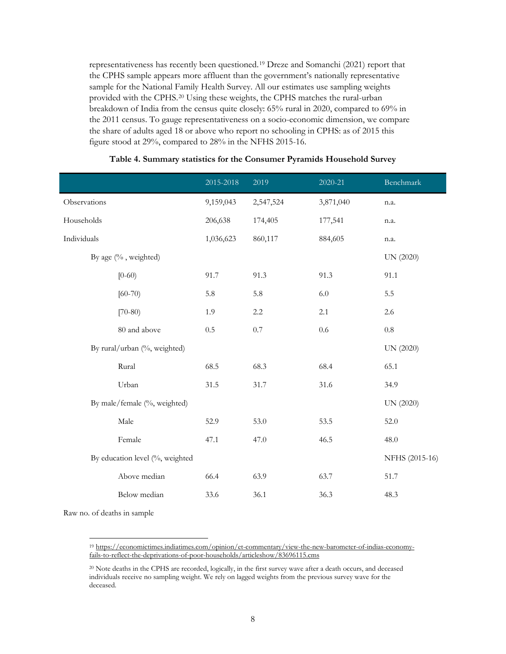representativeness has recently been questioned.[19](#page-10-0) Dreze and Somanchi (2021) report that the CPHS sample appears more affluent than the government's nationally representative sample for the National Family Health Survey. All our estimates use sampling weights provided with the CPHS.[20](#page-10-1) Using these weights, the CPHS matches the rural-urban breakdown of India from the census quite closely: 65% rural in 2020, compared to 69% in the 2011 census. To gauge representativeness on a socio-economic dimension, we compare the share of adults aged 18 or above who report no schooling in CPHS: as of 2015 this figure stood at 29%, compared to 28% in the NFHS 2015-16.

|                                 | 2015-2018 | 2019      | 2020-21   | Benchmark      |
|---------------------------------|-----------|-----------|-----------|----------------|
| Observations                    | 9,159,043 | 2,547,524 | 3,871,040 | n.a.           |
| Households                      | 206,638   | 174,405   | 177,541   | n.a.           |
| Individuals                     | 1,036,623 | 860,117   | 884,605   | n.a.           |
| By age (%, weighted)            |           |           |           | UN (2020)      |
| $[0-60)$                        | 91.7      | 91.3      | 91.3      | 91.1           |
| $[60 - 70]$                     | 5.8       | 5.8       | $6.0\,$   | 5.5            |
| $[70-80)$                       | 1.9       | $2.2\,$   | 2.1       | 2.6            |
| 80 and above                    | 0.5       | 0.7       | 0.6       | $0.8\,$        |
| By rural/urban (%, weighted)    |           |           |           | UN (2020)      |
| Rural                           | 68.5      | 68.3      | 68.4      | 65.1           |
| Urban                           | 31.5      | 31.7      | 31.6      | 34.9           |
| By male/female (%, weighted)    |           |           |           | UN (2020)      |
| Male                            | 52.9      | 53.0      | 53.5      | 52.0           |
| Female                          | 47.1      | 47.0      | 46.5      | 48.0           |
| By education level (%, weighted |           |           |           | NFHS (2015-16) |
| Above median                    | 66.4      | 63.9      | 63.7      | 51.7           |
| Below median                    | 33.6      | 36.1      | 36.3      | 48.3           |
| Raw no. of deaths in sample     |           |           |           |                |

#### **Table 4. Summary statistics for the Consumer Pyramids Household Survey**

<span id="page-10-0"></span><sup>19</sup> [https://economictimes.indiatimes.com/opinion/et-commentary/view-the-new-barometer-of-indias-economy](https://economictimes.indiatimes.com/opinion/et-commentary/view-the-new-barometer-of-indias-economy-fails-to-reflect-the-deprivations-of-poor-households/articleshow/83696115.cms)[fails-to-reflect-the-deprivations-of-poor-households/articleshow/83696115.cms](https://economictimes.indiatimes.com/opinion/et-commentary/view-the-new-barometer-of-indias-economy-fails-to-reflect-the-deprivations-of-poor-households/articleshow/83696115.cms)

<span id="page-10-1"></span><sup>20</sup> Note deaths in the CPHS are recorded, logically, in the first survey wave after a death occurs, and deceased individuals receive no sampling weight. We rely on lagged weights from the previous survey wave for the deceased.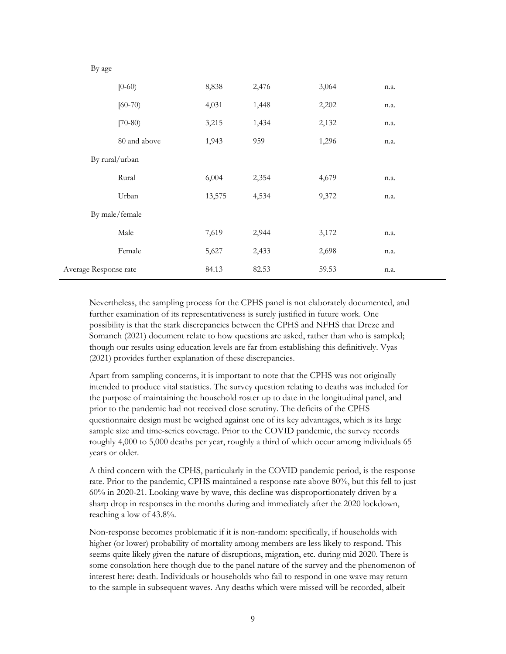|                       | $[0-60)$       | 8,838  | 2,476 | 3,064 | n.a. |
|-----------------------|----------------|--------|-------|-------|------|
|                       | $[60-70]$      | 4,031  | 1,448 | 2,202 | n.a. |
|                       | $[70-80)$      | 3,215  | 1,434 | 2,132 | n.a. |
|                       | 80 and above   | 1,943  | 959   | 1,296 | n.a. |
|                       | By rural/urban |        |       |       |      |
|                       | Rural          | 6,004  | 2,354 | 4,679 | n.a. |
|                       | Urban          | 13,575 | 4,534 | 9,372 | n.a. |
|                       | By male/female |        |       |       |      |
|                       | Male           | 7,619  | 2,944 | 3,172 | n.a. |
|                       | Female         | 5,627  | 2,433 | 2,698 | n.a. |
| Average Response rate |                | 84.13  | 82.53 | 59.53 | n.a. |

By age

Nevertheless, the sampling process for the CPHS panel is not elaborately documented, and further examination of its representativeness is surely justified in future work. One possibility is that the stark discrepancies between the CPHS and NFHS that Dreze and Somanch (2021) document relate to how questions are asked, rather than who is sampled; though our results using education levels are far from establishing this definitively. Vyas (2021) provides further explanation of these discrepancies.

Apart from sampling concerns, it is important to note that the CPHS was not originally intended to produce vital statistics. The survey question relating to deaths was included for the purpose of maintaining the household roster up to date in the longitudinal panel, and prior to the pandemic had not received close scrutiny. The deficits of the CPHS questionnaire design must be weighed against one of its key advantages, which is its large sample size and time-series coverage. Prior to the COVID pandemic, the survey records roughly 4,000 to 5,000 deaths per year, roughly a third of which occur among individuals 65 years or older.

A third concern with the CPHS, particularly in the COVID pandemic period, is the response rate. Prior to the pandemic, CPHS maintained a response rate above 80%, but this fell to just 60% in 2020-21. Looking wave by wave, this decline was disproportionately driven by a sharp drop in responses in the months during and immediately after the 2020 lockdown, reaching a low of 43.8%.

Non-response becomes problematic if it is non-random: specifically, if households with higher (or lower) probability of mortality among members are less likely to respond. This seems quite likely given the nature of disruptions, migration, etc. during mid 2020. There is some consolation here though due to the panel nature of the survey and the phenomenon of interest here: death. Individuals or households who fail to respond in one wave may return to the sample in subsequent waves. Any deaths which were missed will be recorded, albeit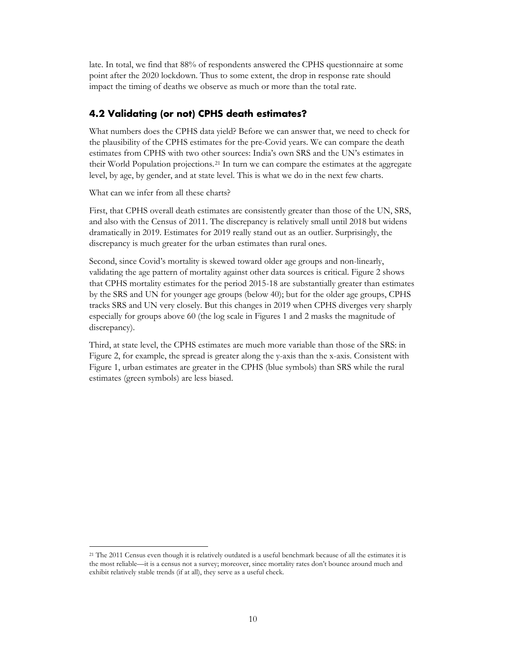late. In total, we find that 88% of respondents answered the CPHS questionnaire at some point after the 2020 lockdown. Thus to some extent, the drop in response rate should impact the timing of deaths we observe as much or more than the total rate.

#### <span id="page-12-0"></span>**4.2 Validating (or not) CPHS death estimates?**

What numbers does the CPHS data yield? Before we can answer that, we need to check for the plausibility of the CPHS estimates for the pre-Covid years. We can compare the death estimates from CPHS with two other sources: India's own SRS and the UN's estimates in their World Population projections.[21](#page-12-1) In turn we can compare the estimates at the aggregate level, by age, by gender, and at state level. This is what we do in the next few charts.

What can we infer from all these charts?

First, that CPHS overall death estimates are consistently greater than those of the UN, SRS, and also with the Census of 2011. The discrepancy is relatively small until 2018 but widens dramatically in 2019. Estimates for 2019 really stand out as an outlier. Surprisingly, the discrepancy is much greater for the urban estimates than rural ones.

Second, since Covid's mortality is skewed toward older age groups and non-linearly, validating the age pattern of mortality against other data sources is critical. Figure 2 shows that CPHS mortality estimates for the period 2015-18 are substantially greater than estimates by the SRS and UN for younger age groups (below 40); but for the older age groups, CPHS tracks SRS and UN very closely. But this changes in 2019 when CPHS diverges very sharply especially for groups above 60 (the log scale in Figures 1 and 2 masks the magnitude of discrepancy).

Third, at state level, the CPHS estimates are much more variable than those of the SRS: in Figure 2, for example, the spread is greater along the y-axis than the x-axis. Consistent with Figure 1, urban estimates are greater in the CPHS (blue symbols) than SRS while the rural estimates (green symbols) are less biased.

<span id="page-12-1"></span><sup>21</sup> The 2011 Census even though it is relatively outdated is a useful benchmark because of all the estimates it is the most reliable—it is a census not a survey; moreover, since mortality rates don't bounce around much and exhibit relatively stable trends (if at all), they serve as a useful check.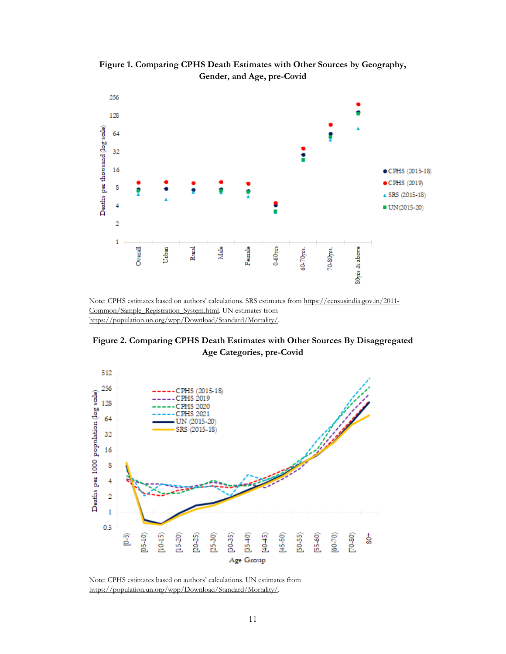

**Figure 1. Comparing CPHS Death Estimates with Other Sources by Geography, Gender, and Age, pre-Covid**

Note: CPHS estimates based on authors' calculations. SRS estimates fro[m https://censusindia.gov.in/2011-](https://censusindia.gov.in/2011-Common/Sample_Registration_System.html) [Common/Sample\\_Registration\\_System.html.](https://censusindia.gov.in/2011-Common/Sample_Registration_System.html) UN estimates from [https://population.un.org/wpp/Download/Standard/Mortality/.](https://population.un.org/wpp/Download/Standard/Mortality/)

**Figure 2. Comparing CPHS Death Estimates with Other Sources By Disaggregated Age Categories, pre-Covid**



Note: CPHS estimates based on authors' calculations. UN estimates from [https://population.un.org/wpp/Download/Standard/Mortality/.](https://population.un.org/wpp/Download/Standard/Mortality/)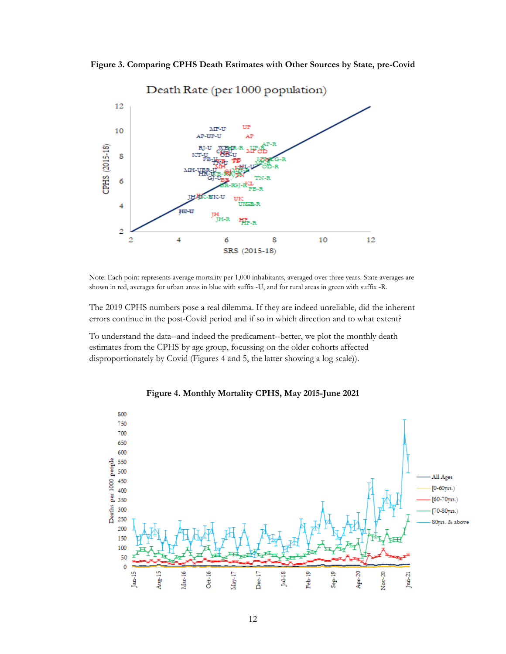**Figure 3. Comparing CPHS Death Estimates with Other Sources by State, pre-Covid**



Note: Each point represents average mortality per 1,000 inhabitants, averaged over three years. State averages are shown in red, averages for urban areas in blue with suffix -U, and for rural areas in green with suffix -R.

The 2019 CPHS numbers pose a real dilemma. If they are indeed unreliable, did the inherent errors continue in the post-Covid period and if so in which direction and to what extent?

To understand the data--and indeed the predicament--better, we plot the monthly death estimates from the CPHS by age group, focussing on the older cohorts affected disproportionately by Covid (Figures 4 and 5, the latter showing a log scale)).



**Figure 4. Monthly Mortality CPHS, May 2015-June 2021**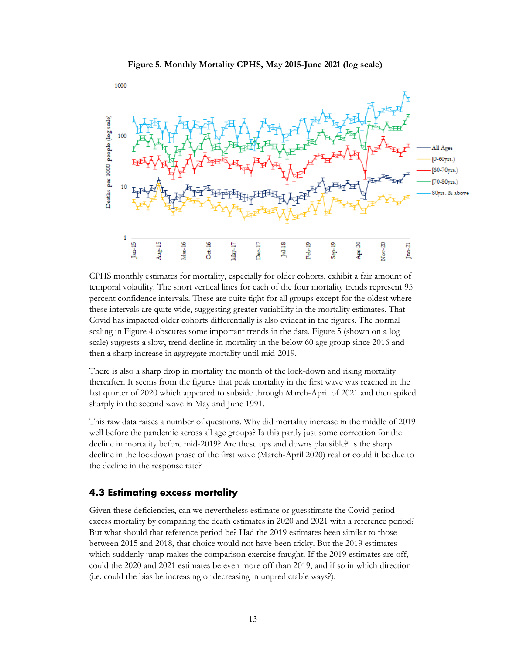



CPHS monthly estimates for mortality, especially for older cohorts, exhibit a fair amount of temporal volatility. The short vertical lines for each of the four mortality trends represent 95 percent confidence intervals. These are quite tight for all groups except for the oldest where these intervals are quite wide, suggesting greater variability in the mortality estimates. That Covid has impacted older cohorts differentially is also evident in the figures. The normal scaling in Figure 4 obscures some important trends in the data. Figure 5 (shown on a log scale) suggests a slow, trend decline in mortality in the below 60 age group since 2016 and then a sharp increase in aggregate mortality until mid-2019.

There is also a sharp drop in mortality the month of the lock-down and rising mortality thereafter. It seems from the figures that peak mortality in the first wave was reached in the last quarter of 2020 which appeared to subside through March-April of 2021 and then spiked sharply in the second wave in May and June 1991.

This raw data raises a number of questions. Why did mortality increase in the middle of 2019 well before the pandemic across all age groups? Is this partly just some correction for the decline in mortality before mid-2019? Are these ups and downs plausible? Is the sharp decline in the lockdown phase of the first wave (March-April 2020) real or could it be due to the decline in the response rate?

#### <span id="page-15-0"></span>**4.3 Estimating excess mortality**

Given these deficiencies, can we nevertheless estimate or guesstimate the Covid-period excess mortality by comparing the death estimates in 2020 and 2021 with a reference period? But what should that reference period be? Had the 2019 estimates been similar to those between 2015 and 2018, that choice would not have been tricky. But the 2019 estimates which suddenly jump makes the comparison exercise fraught. If the 2019 estimates are off, could the 2020 and 2021 estimates be even more off than 2019, and if so in which direction (i.e. could the bias be increasing or decreasing in unpredictable ways?).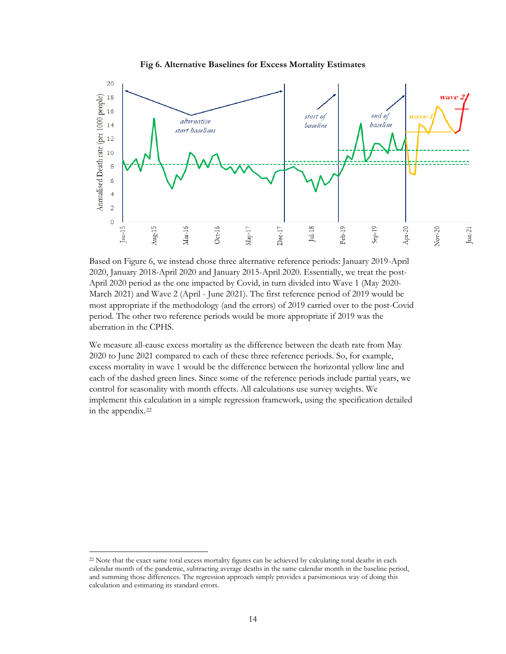



Based on Figure 6, we instead chose three alternative reference periods: January 2019-April 2020, January 2018-April 2020 and January 2015-April 2020. Essentially, we treat the post-April 2020 period as the one impacted by Covid, in turn divided into Wave 1 (May 2020- March 2021) and Wave 2 (April - June 2021). The first reference period of 2019 would be most appropriate if the methodology (and the errors) of 2019 carried over to the post-Covid period. The other two reference periods would be more appropriate if 2019 was the aberration in the CPHS.

We measure all-cause excess mortality as the difference between the death rate from May 2020 to June 2021 compared to each of these three reference periods. So, for example, excess mortality in wave 1 would be the difference between the horizontal yellow line and each of the dashed green lines. Since some of the reference periods include partial years, we control for seasonality with month effects. All calculations use survey weights. We implement this calculation in a simple regression framework, using the specification detailed in the appendix.<sup>[22](#page-16-0)</sup>

<span id="page-16-0"></span><sup>22</sup> Note that the exact same total excess mortality figures can be achieved by calculating total deaths in each calendar month of the pandemic, subtracting average deaths in the same calendar month in the baseline period, and summing those differences. The regression approach simply provides a parsimonious way of doing this calculation and estimating its standard errors.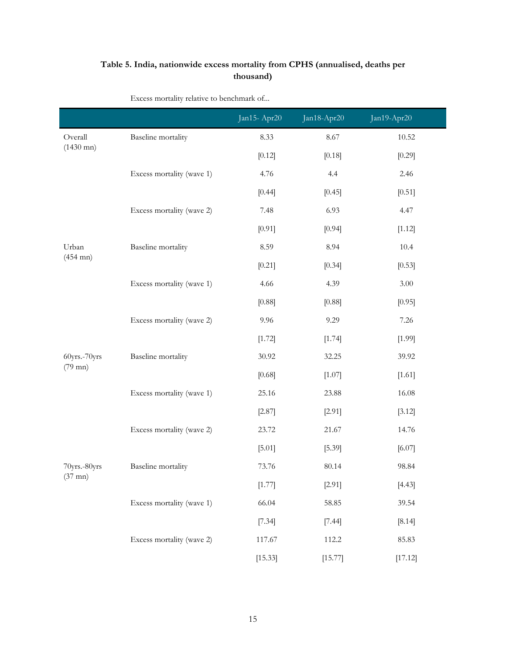#### **Table 5. India, nationwide excess mortality from CPHS (annualised, deaths per thousand)**

|                     |                           | Jan15-Apr20 | Jan18-Apr20 | Jan19-Apr20 |
|---------------------|---------------------------|-------------|-------------|-------------|
| Overall             | <b>Baseline</b> mortality | 8.33        | 8.67        | 10.52       |
| $(1430 \text{ mn})$ |                           | [0.12]      | [0.18]      | [0.29]      |
|                     | Excess mortality (wave 1) | 4.76        | 4.4         | 2.46        |
|                     |                           | [0.44]      | [0.45]      | [0.51]      |
|                     | Excess mortality (wave 2) | 7.48        | 6.93        | 4.47        |
|                     |                           | [0.91]      | [0.94]      | [1.12]      |
| Urban               | Baseline mortality        | 8.59        | 8.94        | 10.4        |
| $(454 \text{ mn})$  |                           | [0.21]      | [0.34]      | [0.53]      |
|                     | Excess mortality (wave 1) | 4.66        | 4.39        | $3.00\,$    |
|                     |                           | [0.88]      | [0.88]      | [0.95]      |
|                     | Excess mortality (wave 2) | 9.96        | 9.29        | 7.26        |
|                     |                           | [1.72]      | [1.74]      | [1.99]      |
| 60yrs.-70yrs        | Baseline mortality        | 30.92       | 32.25       | 39.92       |
| $(79$ mn)           |                           | [0.68]      | [1.07]      | [1.61]      |
|                     | Excess mortality (wave 1) | 25.16       | 23.88       | 16.08       |
|                     |                           | $[2.87]$    | [2.91]      | [3.12]      |
|                     | Excess mortality (wave 2) | 23.72       | 21.67       | 14.76       |
|                     |                           | [5.01]      | [5.39]      | [6.07]      |
| 70yrs.-80yrs        | Baseline mortality        | 73.76       | 80.14       | 98.84       |
| $(37 \text{ mn})$   |                           | [1.77]      | [2.91]      | [4.43]      |
|                     | Excess mortality (wave 1) | 66.04       | 58.85       | 39.54       |
|                     |                           | [7.34]      | [7.44]      | [8.14]      |
|                     | Excess mortality (wave 2) | 117.67      | 112.2       | 85.83       |
|                     |                           | [15.33]     | [15.77]     | [17.12]     |

Excess mortality relative to benchmark of...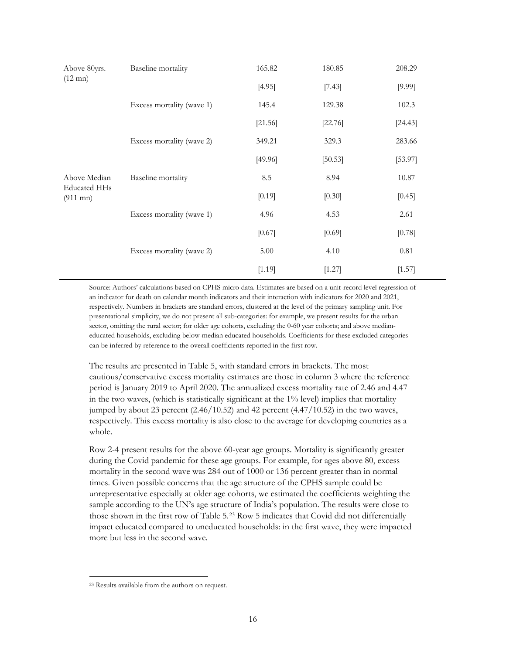| Above 80yrs.                              | Baseline mortality        | 165.82  | 180.85    | 208.29  |
|-------------------------------------------|---------------------------|---------|-----------|---------|
| $(12 \text{ mn})$                         |                           | [4.95]  | [7.43]    | [9.99]  |
|                                           | Excess mortality (wave 1) | 145.4   | 129.38    | 102.3   |
|                                           |                           | [21.56] | $[22.76]$ | [24.43] |
|                                           | Excess mortality (wave 2) | 349.21  | 329.3     | 283.66  |
|                                           |                           | [49.96] | [50.53]   | [53.97] |
| Above Median                              | Baseline mortality        | 8.5     | 8.94      | 10.87   |
| <b>Educated HHs</b><br>$(911 \text{ mn})$ |                           | [0.19]  | [0.30]    | [0.45]  |
|                                           | Excess mortality (wave 1) | 4.96    | 4.53      | 2.61    |
|                                           |                           | [0.67]  | [0.69]    | [0.78]  |
|                                           | Excess mortality (wave 2) | 5.00    | 4.10      | 0.81    |
|                                           |                           | [1.19]  | [1.27]    | [1.57]  |

Source: Authors' calculations based on CPHS micro data. Estimates are based on a unit-record level regression of an indicator for death on calendar month indicators and their interaction with indicators for 2020 and 2021, respectively. Numbers in brackets are standard errors, clustered at the level of the primary sampling unit. For presentational simplicity, we do not present all sub-categories: for example, we present results for the urban sector, omitting the rural sector; for older age cohorts, excluding the 0-60 year cohorts; and above medianeducated households, excluding below-median educated households. Coefficients for these excluded categories can be inferred by reference to the overall coefficients reported in the first row.

The results are presented in Table 5, with standard errors in brackets. The most cautious/conservative excess mortality estimates are those in column 3 where the reference period is January 2019 to April 2020. The annualized excess mortality rate of 2.46 and 4.47 in the two waves, (which is statistically significant at the 1% level) implies that mortality jumped by about 23 percent  $(2.46/10.52)$  and 42 percent  $(4.47/10.52)$  in the two waves, respectively. This excess mortality is also close to the average for developing countries as a whole.

Row 2-4 present results for the above 60-year age groups. Mortality is significantly greater during the Covid pandemic for these age groups. For example, for ages above 80, excess mortality in the second wave was 284 out of 1000 or 136 percent greater than in normal times. Given possible concerns that the age structure of the CPHS sample could be unrepresentative especially at older age cohorts, we estimated the coefficients weighting the sample according to the UN's age structure of India's population. The results were close to those shown in the first row of Table 5.[23](#page-18-0) Row 5 indicates that Covid did not differentially impact educated compared to uneducated households: in the first wave, they were impacted more but less in the second wave.

<span id="page-18-0"></span><sup>23</sup> Results available from the authors on request.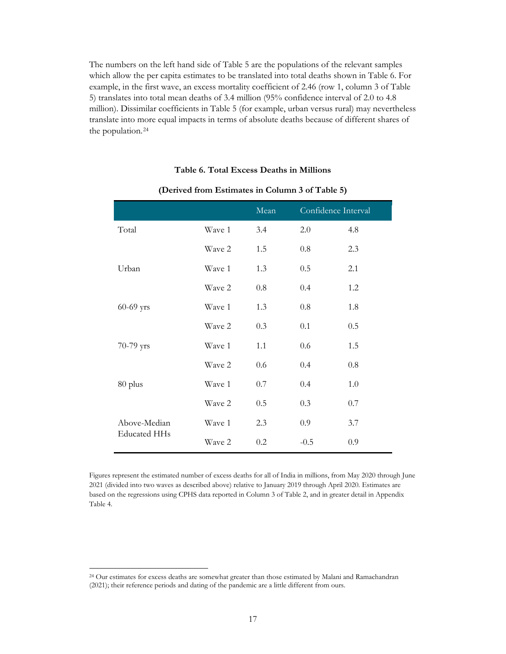The numbers on the left hand side of Table 5 are the populations of the relevant samples which allow the per capita estimates to be translated into total deaths shown in Table 6. For example, in the first wave, an excess mortality coefficient of 2.46 (row 1, column 3 of Table 5) translates into total mean deaths of 3.4 million (95% confidence interval of 2.0 to 4.8 million). Dissimilar coefficients in Table 5 (for example, urban versus rural) may nevertheless translate into more equal impacts in terms of absolute deaths because of different shares of the population.[24](#page-19-0)

#### **Table 6. Total Excess Deaths in Millions**

|                     |        | Mean | Confidence Interval |     |
|---------------------|--------|------|---------------------|-----|
| Total               | Wave 1 | 3.4  | 2.0                 | 4.8 |
|                     | Wave 2 | 1.5  | 0.8                 | 2.3 |
| Urban               | Wave 1 | 1.3  | 0.5                 | 2.1 |
|                     | Wave 2 | 0.8  | 0.4                 | 1.2 |
| 60-69 yrs           | Wave 1 | 1.3  | 0.8                 | 1.8 |
|                     | Wave 2 | 0.3  | 0.1                 | 0.5 |
| 70-79 yrs           | Wave 1 | 1.1  | 0.6                 | 1.5 |
|                     | Wave 2 | 0.6  | 0.4                 | 0.8 |
| 80 plus             | Wave 1 | 0.7  | 0.4                 | 1.0 |
|                     | Wave 2 | 0.5  | 0.3                 | 0.7 |
| Above-Median        | Wave 1 | 2.3  | 0.9                 | 3.7 |
| <b>Educated HHs</b> | Wave 2 | 0.2  | $-0.5$              | 0.9 |

#### **(Derived from Estimates in Column 3 of Table 5)**

Figures represent the estimated number of excess deaths for all of India in millions, from May 2020 through June 2021 (divided into two waves as described above) relative to January 2019 through April 2020. Estimates are based on the regressions using CPHS data reported in Column 3 of Table 2, and in greater detail in Appendix Table 4.

<span id="page-19-0"></span><sup>24</sup> Our estimates for excess deaths are somewhat greater than those estimated by Malani and Ramachandran (2021); their reference periods and dating of the pandemic are a little different from ours.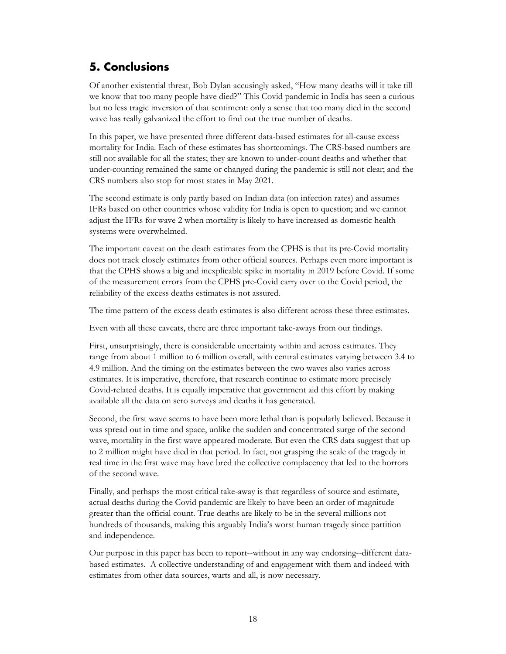## <span id="page-20-0"></span>**5. Conclusions**

Of another existential threat, Bob Dylan accusingly asked, "How many deaths will it take till we know that too many people have died?" This Covid pandemic in India has seen a curious but no less tragic inversion of that sentiment: only a sense that too many died in the second wave has really galvanized the effort to find out the true number of deaths.

In this paper, we have presented three different data-based estimates for all-cause excess mortality for India. Each of these estimates has shortcomings. The CRS-based numbers are still not available for all the states; they are known to under-count deaths and whether that under-counting remained the same or changed during the pandemic is still not clear; and the CRS numbers also stop for most states in May 2021.

The second estimate is only partly based on Indian data (on infection rates) and assumes IFRs based on other countries whose validity for India is open to question; and we cannot adjust the IFRs for wave 2 when mortality is likely to have increased as domestic health systems were overwhelmed.

The important caveat on the death estimates from the CPHS is that its pre-Covid mortality does not track closely estimates from other official sources. Perhaps even more important is that the CPHS shows a big and inexplicable spike in mortality in 2019 before Covid. If some of the measurement errors from the CPHS pre-Covid carry over to the Covid period, the reliability of the excess deaths estimates is not assured.

The time pattern of the excess death estimates is also different across these three estimates.

Even with all these caveats, there are three important take-aways from our findings.

First, unsurprisingly, there is considerable uncertainty within and across estimates. They range from about 1 million to 6 million overall, with central estimates varying between 3.4 to 4.9 million. And the timing on the estimates between the two waves also varies across estimates. It is imperative, therefore, that research continue to estimate more precisely Covid-related deaths. It is equally imperative that government aid this effort by making available all the data on sero surveys and deaths it has generated.

Second, the first wave seems to have been more lethal than is popularly believed. Because it was spread out in time and space, unlike the sudden and concentrated surge of the second wave, mortality in the first wave appeared moderate. But even the CRS data suggest that up to 2 million might have died in that period. In fact, not grasping the scale of the tragedy in real time in the first wave may have bred the collective complacency that led to the horrors of the second wave.

Finally, and perhaps the most critical take-away is that regardless of source and estimate, actual deaths during the Covid pandemic are likely to have been an order of magnitude greater than the official count. True deaths are likely to be in the several millions not hundreds of thousands, making this arguably India's worst human tragedy since partition and independence.

Our purpose in this paper has been to report--without in any way endorsing--different databased estimates. A collective understanding of and engagement with them and indeed with estimates from other data sources, warts and all, is now necessary.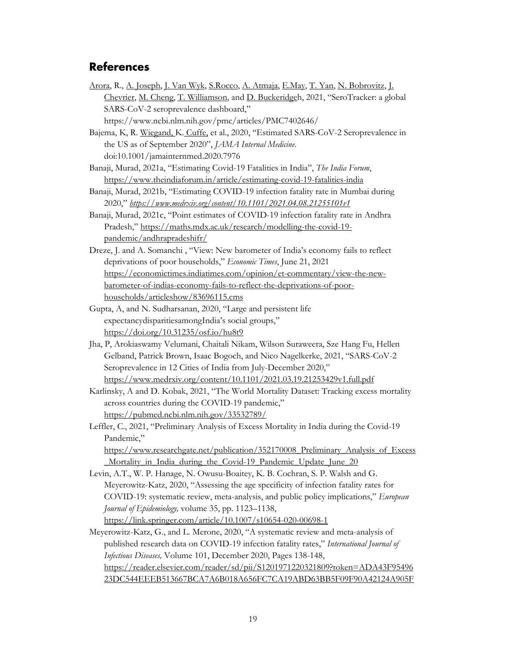#### <span id="page-21-0"></span>**References**

- [Arora,](https://www.ncbi.nlm.nih.gov/pubmed/?term=Arora%20RK%5BAuthor%5D&cauthor=true&cauthor_uid=32763195) R., [A. Joseph,](https://www.ncbi.nlm.nih.gov/pubmed/?term=Joseph%20A%5BAuthor%5D&cauthor=true&cauthor_uid=32763195) [J. Van Wyk,](https://www.ncbi.nlm.nih.gov/pubmed/?term=Van%20Wyk%20J%5BAuthor%5D&cauthor=true&cauthor_uid=32763195) [S.Rocco,](https://www.ncbi.nlm.nih.gov/pubmed/?term=Rocco%20S%5BAuthor%5D&cauthor=true&cauthor_uid=32763195) [A. Atmaja,](https://www.ncbi.nlm.nih.gov/pubmed/?term=Atmaja%20A%5BAuthor%5D&cauthor=true&cauthor_uid=32763195) [E.May,](https://www.ncbi.nlm.nih.gov/pubmed/?term=May%20E%5BAuthor%5D&cauthor=true&cauthor_uid=32763195) [T. Yan,](https://www.ncbi.nlm.nih.gov/pubmed/?term=Yan%20T%5BAuthor%5D&cauthor=true&cauthor_uid=32763195) [N. Bobrovitz,](https://www.ncbi.nlm.nih.gov/pubmed/?term=Bobrovitz%20N%5BAuthor%5D&cauthor=true&cauthor_uid=32763195) [J.](https://www.ncbi.nlm.nih.gov/pubmed/?term=Chevrier%20J%5BAuthor%5D&cauthor=true&cauthor_uid=32763195)  [Chevrier,](https://www.ncbi.nlm.nih.gov/pubmed/?term=Chevrier%20J%5BAuthor%5D&cauthor=true&cauthor_uid=32763195) [M. Cheng,](https://www.ncbi.nlm.nih.gov/pubmed/?term=Cheng%20MP%5BAuthor%5D&cauthor=true&cauthor_uid=32763195) [T. Williamson,](https://www.ncbi.nlm.nih.gov/pubmed/?term=Williamson%20T%5BAuthor%5D&cauthor=true&cauthor_uid=32763195) and [D. Buckeridgeh](https://www.ncbi.nlm.nih.gov/pubmed/?term=Buckeridge%20DL%5BAuthor%5D&cauthor=true&cauthor_uid=32763195), 2021, "SeroTracker: a global SARS-CoV-2 seroprevalence dashboard,"
	- https://www.ncbi.nlm.nih.gov/pmc/articles/PMC7402646/
- Bajema, K, R. [Wiegand, K](https://jamanetwork.com/searchresults?author=Ryan+E.+Wiegand&q=Ryan+E.+Wiegand). [Cuffe,](https://jamanetwork.com/searchresults?author=Kendra+Cuffe&q=Kendra+Cuffe) et al., 2020, "Estimated SARS-CoV-2 Seroprevalence in the US as of September 2020", *JAMA Internal Medicine*. doi:10.1001/jamainternmed.2020.7976
- Banaji, Murad, 2021a, "Estimating Covid-19 Fatalities in India", *The India Forum*, <https://www.theindiaforum.in/article/estimating-covid-19-fatalities-india>
- Banaji, Murad, 2021b, "Estimating COVID-19 infection fatality rate in Mumbai during 2020," *<https://www.medrxiv.org/content/10.1101/2021.04.08.21255101v1>*
- Banaji, Murad, 2021c, "Point estimates of COVID-19 infection fatality rate in Andhra Pradesh," [https://maths.mdx.ac.uk/research/modelling-the-covid-19](https://maths.mdx.ac.uk/research/modelling-the-covid-19-pandemic/andhrapradeshifr/) [pandemic/andhrapradeshifr/](https://maths.mdx.ac.uk/research/modelling-the-covid-19-pandemic/andhrapradeshifr/)
- Dreze, J. and A. Somanchi , "View: New barometer of India's economy fails to reflect deprivations of poor households," *Economic Times*, June 21, 2021 [https://economictimes.indiatimes.com/opinion/et-commentary/view-the-new](https://economictimes.indiatimes.com/opinion/et-commentary/view-the-new-barometer-of-indias-economy-fails-to-reflect-the-deprivations-of-poor-households/articleshow/83696115.cms)[barometer-of-indias-economy-fails-to-reflect-the-deprivations-of-poor](https://economictimes.indiatimes.com/opinion/et-commentary/view-the-new-barometer-of-indias-economy-fails-to-reflect-the-deprivations-of-poor-households/articleshow/83696115.cms)[households/articleshow/83696115.cms](https://economictimes.indiatimes.com/opinion/et-commentary/view-the-new-barometer-of-indias-economy-fails-to-reflect-the-deprivations-of-poor-households/articleshow/83696115.cms)
- Gupta, A, and N. Sudharsanan, 2020, "Large and persistent life expectancydisparitiesamongIndia's social groups," <https://doi.org/10.31235/osf.io/hu8t9>
- Jha, P, Arokiaswamy Velumani, Chaitali Nikam, Wilson Suraweera, Sze Hang Fu, Hellen Gelband, Patrick Brown, Isaac Bogoch, and Nico Nagelkerke, 2021, "SARS-CoV-2 Seroprevalence in 12 Cities of India from July-December 2020," <https://www.medrxiv.org/content/10.1101/2021.03.19.21253429v1.full.pdf>
- Karlinsky, A and D. Kobak, 2021, "The World Mortality Dataset: Tracking excess mortality across countries during the COVID-19 pandemic," <https://pubmed.ncbi.nlm.nih.gov/33532789/>
- Leffler, C., 2021, "Preliminary Analysis of Excess Mortality in India during the Covid-19 Pandemic,"

[https://www.researchgate.net/publication/352170008\\_Preliminary\\_Analysis\\_of\\_Excess](https://www.researchgate.net/publication/352170008_Preliminary_Analysis_of_Excess_Mortality_in_India_during_the_Covid-19_Pandemic_Update_June_20) Mortality in India during the Covid-19 Pandemic Update June 20

- Levin, A.T., W. P. Hanage, N. Owusu-Boaitey, K. B. Cochran, S. P. Walsh and G. Meyerowitz-Katz, 2020, "Assessing the age specificity of infection fatality rates for COVID-19: systematic review, meta-analysis, and public policy implications," *European Journal of Epidemiology,* volume 35, pp. 1123–1138, <https://link.springer.com/article/10.1007/s10654-020-00698-1>
- Meyerowitz-Katz, G., and L. Merone, 2020, "A systematic review and meta-analysis of published research data on COVID-19 infection fatality rates," *International Journal of Infectious Diseases,* Volume 101, December 2020, Pages 138-148, [https://reader.elsevier.com/reader/sd/pii/S1201971220321809?token=ADA43F95496](https://reader.elsevier.com/reader/sd/pii/S1201971220321809?token=ADA43F9549623DC544EEEB513667BCA7A6B018A656FC7CA19ABD63BB5F09F90A42124A905FBD56CC23DB592E6821CB0E&originRegion=us-east-1&originCreation=20210705000910) [23DC544EEEB513667BCA7A6B018A656FC7CA19ABD63BB5F09F90A42124A905F](https://reader.elsevier.com/reader/sd/pii/S1201971220321809?token=ADA43F9549623DC544EEEB513667BCA7A6B018A656FC7CA19ABD63BB5F09F90A42124A905FBD56CC23DB592E6821CB0E&originRegion=us-east-1&originCreation=20210705000910)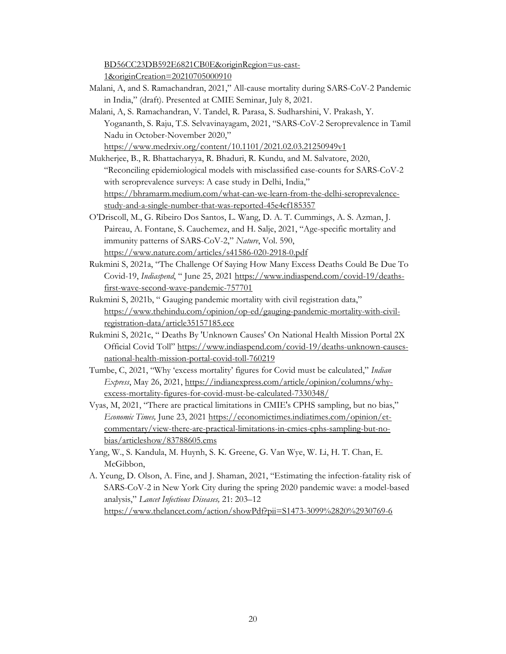[BD56CC23DB592E6821CB0E&originRegion=us-east-](https://reader.elsevier.com/reader/sd/pii/S1201971220321809?token=ADA43F9549623DC544EEEB513667BCA7A6B018A656FC7CA19ABD63BB5F09F90A42124A905FBD56CC23DB592E6821CB0E&originRegion=us-east-1&originCreation=20210705000910)[1&originCreation=20210705000910](https://reader.elsevier.com/reader/sd/pii/S1201971220321809?token=ADA43F9549623DC544EEEB513667BCA7A6B018A656FC7CA19ABD63BB5F09F90A42124A905FBD56CC23DB592E6821CB0E&originRegion=us-east-1&originCreation=20210705000910)

- Malani, A, and S. Ramachandran, 2021," All-cause mortality during SARS-CoV-2 Pandemic in India," (draft). Presented at CMIE Seminar, July 8, 2021.
- Malani, A, S. Ramachandran, V. Tandel, R. Parasa, S. Sudharshini, V. Prakash, Y. Yogananth, S. Raju, T.S. Selvavinayagam, 2021, "SARS-CoV-2 Seroprevalence in Tamil Nadu in October-November 2020,"

<https://www.medrxiv.org/content/10.1101/2021.02.03.21250949v1>

- Mukherjee, B., R. Bhattacharyya, R. Bhaduri, R. Kundu, and M. Salvatore, 2020, "Reconciling epidemiological models with misclassified case-counts for SARS-CoV-2 with seroprevalence surveys: A case study in Delhi, India," [https://bhramarm.medium.com/what-can-we-learn-from-the-delhi-seroprevalence](https://bhramarm.medium.com/what-can-we-learn-from-the-delhi-seroprevalence-study-and-a-single-number-that-was-reported-45e4cf185357)[study-and-a-single-number-that-was-reported-45e4cf185357](https://bhramarm.medium.com/what-can-we-learn-from-the-delhi-seroprevalence-study-and-a-single-number-that-was-reported-45e4cf185357)
- O'Driscoll, M., G. Ribeiro Dos Santos, L. Wang, D. A. T. Cummings, A. S. Azman, J. Paireau, A. Fontane, S. Cauchemez, and H. Salje, 2021, "Age-specific mortality and immunity patterns of SARS-CoV-2," *Nature*, Vol. 590, <https://www.nature.com/articles/s41586-020-2918-0.pdf>
- Rukmini S, 2021a, "The Challenge Of Saying How Many Excess Deaths Could Be Due To Covid-19, *Indiaspend*, " June 25, 2021 [https://www.indiaspend.com/covid-19/deaths](https://www.indiaspend.com/covid-19/deaths-first-wave-second-wave-pandemic-757701)[first-wave-second-wave-pandemic-757701](https://www.indiaspend.com/covid-19/deaths-first-wave-second-wave-pandemic-757701)
- Rukmini S, 2021b, " Gauging pandemic mortality with civil registration data," [https://www.thehindu.com/opinion/op-ed/gauging-pandemic-mortality-with-civil](https://www.thehindu.com/opinion/op-ed/gauging-pandemic-mortality-with-civil-registration-data/article35157185.ece)[registration-data/article35157185.ece](https://www.thehindu.com/opinion/op-ed/gauging-pandemic-mortality-with-civil-registration-data/article35157185.ece)
- Rukmini S, 2021c, " Deaths By 'Unknown Causes' On National Health Mission Portal 2X Official Covid Toll" [https://www.indiaspend.com/covid-19/deaths-unknown-causes](https://www.indiaspend.com/covid-19/deaths-unknown-causes-national-health-mission-portal-covid-toll-760219)[national-health-mission-portal-covid-toll-760219](https://www.indiaspend.com/covid-19/deaths-unknown-causes-national-health-mission-portal-covid-toll-760219)
- Tumbe, C, 2021, "Why 'excess mortality' figures for Covid must be calculated," *Indian Express*, May 26, 2021, [https://indianexpress.com/article/opinion/columns/why](https://indianexpress.com/article/opinion/columns/why-excess-mortality-figures-for-covid-must-be-calculated-7330348/)[excess-mortality-figures-for-covid-must-be-calculated-7330348/](https://indianexpress.com/article/opinion/columns/why-excess-mortality-figures-for-covid-must-be-calculated-7330348/)
- Vyas, M, 2021, "There are practical limitations in CMIE's CPHS sampling, but no bias," *Economic Times,* June 23, 2021 [https://economictimes.indiatimes.com/opinion/et](https://economictimes.indiatimes.com/opinion/et-commentary/view-there-are-practical-limitations-in-cmies-cphs-sampling-but-no-bias/articleshow/83788605.cms)[commentary/view-there-are-practical-limitations-in-cmies-cphs-sampling-but-no](https://economictimes.indiatimes.com/opinion/et-commentary/view-there-are-practical-limitations-in-cmies-cphs-sampling-but-no-bias/articleshow/83788605.cms)[bias/articleshow/83788605.cms](https://economictimes.indiatimes.com/opinion/et-commentary/view-there-are-practical-limitations-in-cmies-cphs-sampling-but-no-bias/articleshow/83788605.cms)
- Yang, W., S. Kandula, M. Huynh, S. K. Greene, G. Van Wye, W. Li, H. T. Chan, E. McGibbon,
- A. Yeung, D. Olson, A. Fine, and J. Shaman, 2021, "Estimating the infection-fatality risk of SARS-CoV-2 in New York City during the spring 2020 pandemic wave: a model-based analysis," *Lancet Infectious Diseases,* 21: 203–12 <https://www.thelancet.com/action/showPdf?pii=S1473-3099%2820%2930769-6>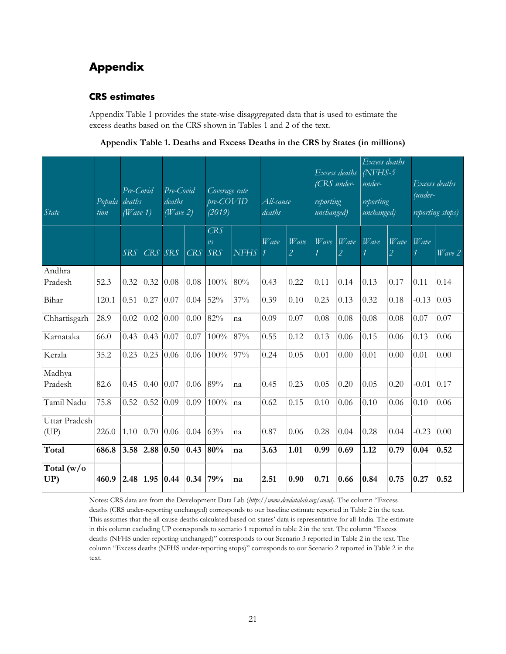## <span id="page-23-0"></span>**Appendix**

#### <span id="page-23-1"></span>**CRS estimates**

Appendix Table 1 provides the state-wise disaggregated data that is used to estimate the excess deaths based on the CRS shown in Tables 1 and 2 of the text.

| Appendix Table 1. Deaths and Excess Deaths in the CRS by States (in millions) |  |  |
|-------------------------------------------------------------------------------|--|--|
|-------------------------------------------------------------------------------|--|--|

| State            | Popula deaths<br>tion | Pre-Covid<br>(Wave 1) |         | Pre-Covid<br>deaths<br>(Wave 2) |                         | Coverage rate<br>$pre-COVID$<br>(2019)  |             | All-cause<br>deaths |                        | (CRS under-<br>reporting<br>unchanged) | Excess deaths          | Excess deaths<br>NFHS-5<br>under-<br>reporting<br>unchanged) |                                     | (under- | Excess deaths<br>reporting stops) |
|------------------|-----------------------|-----------------------|---------|---------------------------------|-------------------------|-----------------------------------------|-------------|---------------------|------------------------|----------------------------------------|------------------------|--------------------------------------------------------------|-------------------------------------|---------|-----------------------------------|
|                  |                       | <b>SRS</b>            | CRS SRS |                                 | CRS                     | CRS<br>$\overline{\nu}$ s<br><b>SRS</b> | <b>NFHS</b> | $W$ ave             | Wave<br>$\overline{2}$ | Wave                                   | Wave<br>$\overline{2}$ | Wave                                                         | Wave<br>$\mathcal{L}_{\mathcal{L}}$ | Wave    | Wave 2                            |
| Andhra           |                       |                       |         |                                 |                         |                                         |             |                     |                        |                                        |                        |                                                              |                                     |         |                                   |
| Pradesh          | 52.3                  | 0.32                  | 0.32    | 0.08                            | 0.08                    | 100%                                    | 80%         | 0.43                | 0.22                   | 0.11                                   | 0.14                   | 0.13                                                         | 0.17                                | 0.11    | 0.14                              |
| Bihar            | 120.1                 | 0.51                  | 0.27    | 0.07                            | 0.04                    | 52%                                     | 37%         | 0.39                | 0.10                   | 0.23                                   | 0.13                   | 0.32                                                         | 0.18                                | $-0.13$ | 0.03                              |
| Chhattisgarh     | 28.9                  | 0.02                  | 0.02    | 0.00                            | 0.00                    | 82%                                     | na          | 0.09                | 0.07                   | 0.08                                   | 0.08                   | 0.08                                                         | 0.08                                | 0.07    | 0.07                              |
| Karnataka        | 66.0                  | 0.43                  | 0.43    | 0.07                            | 0.07                    | 100%                                    | 87%         | 0.55                | 0.12                   | 0.13                                   | 0.06                   | 0.15                                                         | 0.06                                | 0.13    | 0.06                              |
| Kerala           | 35.2                  | 0.23                  | 0.23    | 0.06                            | 0.06                    | 100%                                    | 97%         | 0.24                | 0.05                   | 0.01                                   | 0.00                   | 0.01                                                         | 0.00                                | 0.01    | 0.00                              |
| Madhya           |                       |                       |         |                                 |                         |                                         |             |                     |                        |                                        |                        |                                                              |                                     |         |                                   |
| Pradesh          | 82.6                  | 0.45                  | 0.40    | 0.07                            | 0.06                    | 89%                                     | na          | 0.45                | 0.23                   | 0.05                                   | 0.20                   | 0.05                                                         | 0.20                                | $-0.01$ | 0.17                              |
| Tamil Nadu       | 75.8                  | 0.52                  | 0.52    | 0.09                            | 0.09                    | 100%                                    | na          | 0.62                | 0.15                   | 0.10                                   | 0.06                   | 0.10                                                         | 0.06                                | 0.10    | 0.06                              |
| Uttar Pradesh    |                       |                       |         |                                 |                         |                                         |             |                     |                        |                                        |                        |                                                              |                                     |         |                                   |
| (UP)             | 226.0                 | 1.10                  | 0.70    | 0.06                            | $0.04 \, \vert \, 63\%$ |                                         | na          | 0.87                | 0.06                   | 0.28                                   | 0.04                   | 0.28                                                         | 0.04                                | $-0.23$ | 0.00                              |
| Total            | 686.8                 | 3.58                  | 2.88    | 0.50                            | 0.43                    | 80%                                     | na          | 3.63                | 1.01                   | 0.99                                   | 0.69                   | 1.12                                                         | 0.79                                | 0.04    | 0.52                              |
| Total (w/o<br>UP | 460.9                 | 2.48                  | 1.95    | 0.44                            | 0.34                    | 79%                                     | na          | 2.51                | 0.90                   | 0.71                                   | 0.66                   | 0.84                                                         | 0.75                                | 0.27    | 0.52                              |

Notes: CRS data are from the Development Data Lab (*<http://www.devdatalab.org/covid>*). The column "Excess deaths (CRS under-reporting unchanged) corresponds to our baseline estimate reported in Table 2 in the text. This assumes that the all-cause deaths calculated based on states' data is representative for all-India. The estimate in this column excluding UP corresponds to scenario 1 reported in table 2 in the text. The column "Excess deaths (NFHS under-reporting unchanged)" corresponds to our Scenario 3 reported in Table 2 in the text. The column "Excess deaths (NFHS under-reporting stops)" corresponds to our Scenario 2 reported in Table 2 in the text.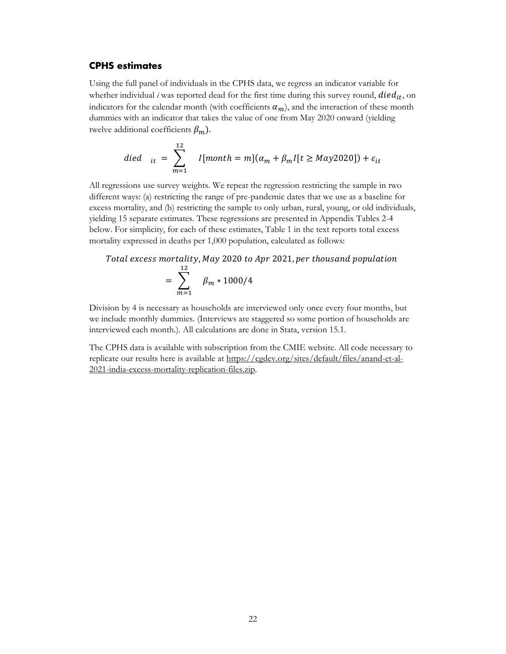#### <span id="page-24-0"></span>**CPHS estimates**

Using the full panel of individuals in the CPHS data, we regress an indicator variable for whether individual  $i$  was reported dead for the first time during this survey round,  $died_{it}$ , on indicators for the calendar month (with coefficients  $\alpha_m$ ), and the interaction of these month dummies with an indicator that takes the value of one from May 2020 onward (yielding twelve additional coefficients  $\beta_m$ ).

$$
died_{it} = \sum_{m=1}^{12} I[month = m](\alpha_m + \beta_m I[t \ge May2020]) + \varepsilon_{it}
$$

All regressions use survey weights. We repeat the regression restricting the sample in two different ways: (a) restricting the range of pre-pandemic dates that we use as a baseline for excess mortality, and (b) restricting the sample to only urban, rural, young, or old individuals, yielding 15 separate estimates. These regressions are presented in Appendix Tables 2-4 below. For simplicity, for each of these estimates, Table 1 in the text reports total excess mortality expressed in deaths per 1,000 population, calculated as follows:

Total excess mortality, May 2020 to Apr 2021, per thousand population  
\n
$$
= \sum_{m=1}^{12} \beta_m * 1000/4
$$

Division by 4 is necessary as households are interviewed only once every four months, but we include monthly dummies. (Interviews are staggered so some portion of households are interviewed each month.). All calculations are done in Stata, version 15.1.

The CPHS data is available with subscription from the CMIE website. All code necessary to replicate our results here is available at [https://cgdev.org/sites/default/files/anand-et-al-](https://cgdev.org/sites/default/files/anand-et-al-2021-india-excess-mortality-replication-files.zip)[2021-india-excess-mortality-replication-files.zip.](https://cgdev.org/sites/default/files/anand-et-al-2021-india-excess-mortality-replication-files.zip)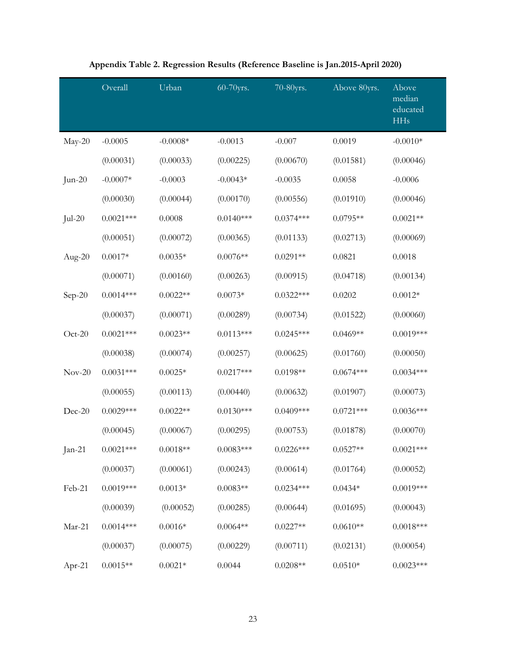|           | Overall     | Urban           | 60-70yrs.   | 70-80yrs.   | Above 80yrs. | Above<br>median<br>educated<br><b>HHs</b> |
|-----------|-------------|-----------------|-------------|-------------|--------------|-------------------------------------------|
| $May-20$  | $-0.0005$   | $-0.0008*$      | $-0.0013$   | $-0.007$    | 0.0019       | $-0.0010*$                                |
|           | (0.00031)   | (0.00033)       | (0.00225)   | (0.00670)   | (0.01581)    | (0.00046)                                 |
| $Jun-20$  | $-0.0007*$  | $-0.0003$       | $-0.0043*$  | $-0.0035$   | 0.0058       | $-0.0006$                                 |
|           | (0.00030)   | (0.00044)       | (0.00170)   | (0.00556)   | (0.01910)    | (0.00046)                                 |
| $Jul-20$  | $0.0021***$ | 0.0008          | $0.0140***$ | $0.0374***$ | $0.0795**$   | $0.0021**$                                |
|           | (0.00051)   | (0.00072)       | (0.00365)   | (0.01133)   | (0.02713)    | (0.00069)                                 |
| Aug- $20$ | $0.0017*$   | $0.0035*$       | $0.0076**$  | $0.0291**$  | 0.0821       | 0.0018                                    |
|           | (0.00071)   | (0.00160)       | (0.00263)   | (0.00915)   | (0.04718)    | (0.00134)                                 |
| $Sep-20$  | $0.0014***$ | $0.0022**$      | $0.0073*$   | $0.0322***$ | 0.0202       | $0.0012*$                                 |
|           | (0.00037)   | (0.00071)       | (0.00289)   | (0.00734)   | (0.01522)    | (0.00060)                                 |
| $Oct-20$  | $0.0021***$ | $0.0023**$      | $0.0113***$ | $0.0245***$ | $0.0469**$   | $0.0019***$                               |
|           | (0.00038)   | (0.00074)       | (0.00257)   | (0.00625)   | (0.01760)    | (0.00050)                                 |
| $Nov-20$  | $0.0031***$ | $0.0025*$       | $0.0217***$ | $0.0198**$  | $0.0674***$  | $0.0034***$                               |
|           | (0.00055)   | (0.00113)       | (0.00440)   | (0.00632)   | (0.01907)    | (0.00073)                                 |
| Dec-20    | $0.0029***$ | $0.0022**$      | $0.0130***$ | $0.0409***$ | $0.0721***$  | $0.0036***$                               |
|           | (0.00045)   | (0.00067)       | (0.00295)   | (0.00753)   | (0.01878)    | (0.00070)                                 |
| Jan-21    | $0.0021***$ | $0.0018**$      | $0.0083***$ | $0.0226***$ | $0.0527**$   | $0.0021***$                               |
|           | (0.00037)   | (0.00061)       | (0.00243)   | (0.00614)   | (0.01764)    | (0.00052)                                 |
| Feb-21    | $0.0019***$ | $0.0013*$       | $0.0083**$  | $0.0234***$ | $0.0434*$    | $0.0019***$                               |
|           | (0.00039)   | (0.00052)       | (0.00285)   | (0.00644)   | (0.01695)    | (0.00043)                                 |
| Mar-21    | $0.0014***$ | $0.0016^{\ast}$ | $0.0064**$  | $0.0227**$  | $0.0610**$   | $0.0018***$                               |
|           | (0.00037)   | (0.00075)       | (0.00229)   | (0.00711)   | (0.02131)    | (0.00054)                                 |
| Apr-21    | $0.0015**$  | $0.0021*$       | 0.0044      | $0.0208**$  | $0.0510*$    | $0.0023***$                               |

## **Appendix Table 2. Regression Results (Reference Baseline is Jan.2015-April 2020)**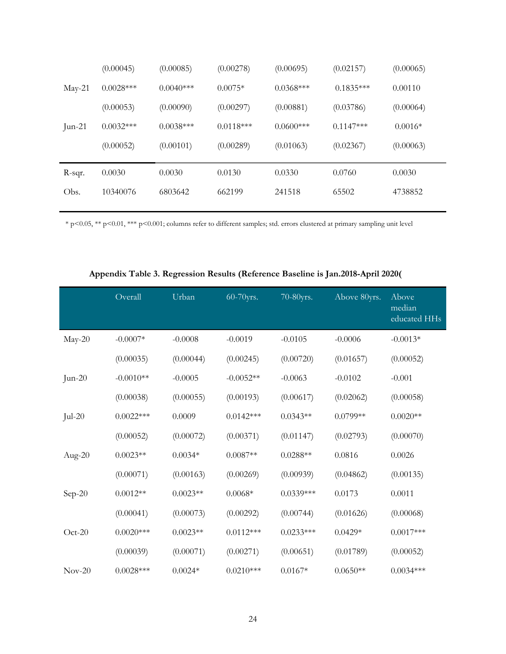| Obs.   | 10340076    | 6803642     | 662199      | 241518       | 65502       | 4738852   |
|--------|-------------|-------------|-------------|--------------|-------------|-----------|
| R-sqr. | 0.0030      | 0.0030      | 0.0130      | 0.0330       | 0.0760      | 0.0030    |
|        | (0.00052)   | (0.00101)   | (0.00289)   | (0.01063)    | (0.02367)   | (0.00063) |
| Jun-21 | $0.0032***$ | $0.0038***$ | $0.0118***$ | $0.0600$ *** | $0.1147***$ | $0.0016*$ |
|        | (0.00053)   | (0.00090)   | (0.00297)   | (0.00881)    | (0.03786)   | (0.00064) |
| May-21 | $0.0028***$ | $0.0040***$ | $0.0075*$   | $0.0368***$  | $0.1835***$ | 0.00110   |
|        | (0.00045)   | (0.00085)   | (0.00278)   | (0.00695)    | (0.02157)   | (0.00065) |

\* p<0.05, \*\* p<0.01, \*\*\* p<0.001; columns refer to different samples; std. errors clustered at primary sampling unit level

|           | Overall     | Urban      | 60-70yrs.   | 70-80yrs.   | Above 80yrs. | Above<br>median<br>educated HHs |
|-----------|-------------|------------|-------------|-------------|--------------|---------------------------------|
| $May-20$  | $-0.0007*$  | $-0.0008$  | $-0.0019$   | $-0.0105$   | $-0.0006$    | $-0.0013*$                      |
|           | (0.00035)   | (0.00044)  | (0.00245)   | (0.00720)   | (0.01657)    | (0.00052)                       |
| $Jun-20$  | $-0.0010**$ | $-0.0005$  | $-0.0052**$ | $-0.0063$   | $-0.0102$    | $-0.001$                        |
|           | (0.00038)   | (0.00055)  | (0.00193)   | (0.00617)   | (0.02062)    | (0.00058)                       |
| $Jul-20$  | $0.0022***$ | 0.0009     | $0.0142***$ | $0.0343**$  | $0.0799**$   | $0.0020**$                      |
|           | (0.00052)   | (0.00072)  | (0.00371)   | (0.01147)   | (0.02793)    | (0.00070)                       |
| Aug- $20$ | $0.0023**$  | $0.0034*$  | $0.0087**$  | $0.0288**$  | 0.0816       | 0.0026                          |
|           | (0.00071)   | (0.00163)  | (0.00269)   | (0.00939)   | (0.04862)    | (0.00135)                       |
| Sep-20    | $0.0012**$  | $0.0023**$ | $0.0068*$   | $0.0339***$ | 0.0173       | 0.0011                          |
|           | (0.00041)   | (0.00073)  | (0.00292)   | (0.00744)   | (0.01626)    | (0.00068)                       |
| $Oct-20$  | $0.0020***$ | $0.0023**$ | $0.0112***$ | $0.0233***$ | $0.0429*$    | $0.0017***$                     |
|           | (0.00039)   | (0.00071)  | (0.00271)   | (0.00651)   | (0.01789)    | (0.00052)                       |
| $Nov-20$  | $0.0028***$ | $0.0024*$  | $0.0210***$ | $0.0167*$   | $0.0650**$   | $0.0034***$                     |

#### **Appendix Table 3. Regression Results (Reference Baseline is Jan.2018-April 2020(**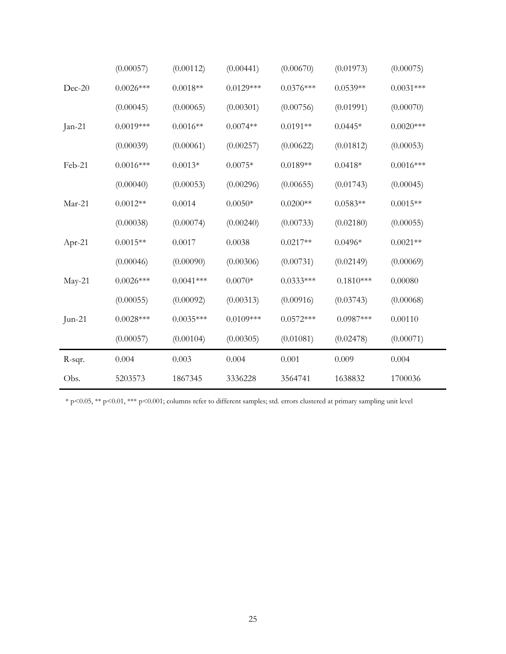|          | (0.00057)   | (0.00112)   | (0.00441)   | (0.00670)   | (0.01973)   | (0.00075)   |
|----------|-------------|-------------|-------------|-------------|-------------|-------------|
| Dec-20   | $0.0026***$ | $0.0018**$  | $0.0129***$ | $0.0376***$ | $0.0539**$  | $0.0031***$ |
|          | (0.00045)   | (0.00065)   | (0.00301)   | (0.00756)   | (0.01991)   | (0.00070)   |
| $Jan-21$ | $0.0019***$ | $0.0016**$  | $0.0074**$  | $0.0191**$  | $0.0445*$   | $0.0020***$ |
|          | (0.00039)   | (0.00061)   | (0.00257)   | (0.00622)   | (0.01812)   | (0.00053)   |
| Feb-21   | $0.0016***$ | $0.0013*$   | $0.0075*$   | $0.0189**$  | $0.0418*$   | $0.0016***$ |
|          | (0.00040)   | (0.00053)   | (0.00296)   | (0.00655)   | (0.01743)   | (0.00045)   |
| Mar-21   | $0.0012**$  | 0.0014      | $0.0050*$   | $0.0200**$  | $0.0583**$  | $0.0015**$  |
|          | (0.00038)   | (0.00074)   | (0.00240)   | (0.00733)   | (0.02180)   | (0.00055)   |
| $Apr-21$ | $0.0015**$  | 0.0017      | 0.0038      | $0.0217**$  | $0.0496*$   | $0.0021**$  |
|          | (0.00046)   | (0.00090)   | (0.00306)   | (0.00731)   | (0.02149)   | (0.00069)   |
| $May-21$ | $0.0026***$ | $0.0041***$ | $0.0070*$   | $0.0333***$ | $0.1810***$ | 0.00080     |
|          | (0.00055)   | (0.00092)   | (0.00313)   | (0.00916)   | (0.03743)   | (0.00068)   |
| $Jun-21$ | $0.0028***$ | $0.0035***$ | $0.0109***$ | $0.0572***$ | $0.0987***$ | 0.00110     |
|          | (0.00057)   | (0.00104)   | (0.00305)   | (0.01081)   | (0.02478)   | (0.00071)   |
| R-sqr.   | 0.004       | 0.003       | 0.004       | 0.001       | 0.009       | 0.004       |
| Obs.     | 5203573     | 1867345     | 3336228     | 3564741     | 1638832     | 1700036     |

\* p<0.05, \*\* p<0.01, \*\*\* p<0.001; columns refer to different samples; std. errors clustered at primary sampling unit level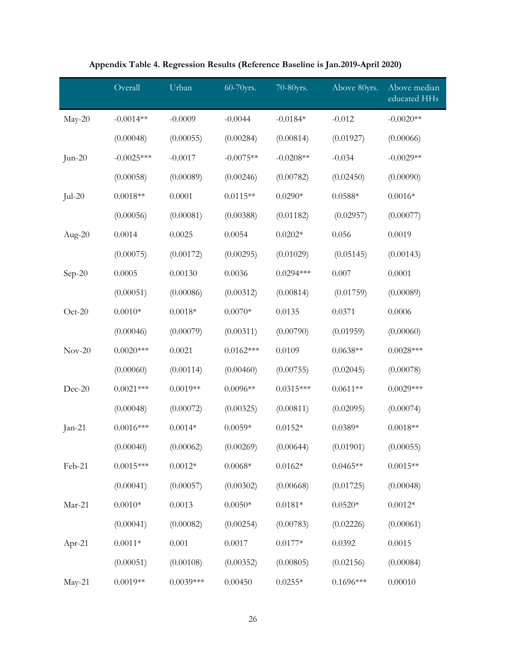|           | Overall      | Urban       | 60-70yrs.   | 70-80yrs.       | Above 80yrs. | Above median<br>educated HHs |
|-----------|--------------|-------------|-------------|-----------------|--------------|------------------------------|
| May-20    | $-0.0014**$  | $-0.0009$   | $-0.0044$   | $-0.0184*$      | $-0.012$     | $-0.0020**$                  |
|           | (0.00048)    | (0.00055)   | (0.00284)   | (0.00814)       | (0.01927)    | (0.00066)                    |
| $Jun-20$  | $-0.0025***$ | $-0.0017$   | $-0.0075**$ | $-0.0208**$     | $-0.034$     | $-0.0029**$                  |
|           | (0.00058)    | (0.00089)   | (0.00246)   | (0.00782)       | (0.02450)    | (0.00090)                    |
| $Jul-20$  | $0.0018**$   | 0.0001      | $0.0115**$  | $0.0290*$       | $0.0588*$    | $0.0016*$                    |
|           | (0.00056)    | (0.00081)   | (0.00388)   | (0.01182)       | (0.02957)    | (0.00077)                    |
| Aug- $20$ | 0.0014       | 0.0025      | 0.0054      | $0.0202*$       | 0.056        | 0.0019                       |
|           | (0.00075)    | (0.00172)   | (0.00295)   | (0.01029)       | (0.05145)    | (0.00143)                    |
| $Sep-20$  | 0.0005       | 0.00130     | 0.0036      | $0.0294***$     | 0.007        | 0.0001                       |
|           | (0.00051)    | (0.00086)   | (0.00312)   | (0.00814)       | (0.01759)    | (0.00089)                    |
| $Oct-20$  | $0.0010*$    | $0.0018*$   | $0.0070*$   | 0.0135          | 0.0371       | 0.0006                       |
|           | (0.00046)    | (0.00079)   | (0.00311)   | (0.00790)       | (0.01959)    | (0.00060)                    |
| $Nov-20$  | $0.0020***$  | 0.0021      | $0.0162***$ | 0.0109          | $0.0638**$   | $0.0028***$                  |
|           | (0.00060)    | (0.00114)   | (0.00460)   | (0.00755)       | (0.02045)    | (0.00078)                    |
| Dec-20    | $0.0021***$  | $0.0019**$  | $0.0096**$  | $0.0315***$     | $0.0611**$   | $0.0029***$                  |
|           | (0.00048)    | (0.00072)   | (0.00325)   | (0.00811)       | (0.02095)    | (0.00074)                    |
| $Jan-21$  | $0.0016***$  | $0.0014*$   | $0.0059*$   | $0.0152*$       | $0.0389*$    | $0.0018**$                   |
|           | (0.00040)    | (0.00062)   | (0.00269)   | (0.00644)       | (0.01901)    | (0.00055)                    |
| Feb-21    | $0.0015***$  | $0.0012*$   | $0.0068*$   | $0.0162*$       | $0.0465**$   | $0.0015**$                   |
|           | (0.00041)    | (0.00057)   | (0.00302)   | (0.00668)       | (0.01725)    | (0.00048)                    |
| Mar-21    | $0.0010*$    | 0.0013      | $0.0050*$   | $0.0181^{\ast}$ | $0.0520*$    | $0.0012*$                    |
|           | (0.00041)    | (0.00082)   | (0.00254)   | (0.00783)       | (0.02226)    | (0.00061)                    |
| Apr-21    | $0.0011*$    | 0.001       | 0.0017      | $0.0177*$       | 0.0392       | 0.0015                       |
|           | (0.00051)    | (0.00108)   | (0.00352)   | (0.00805)       | (0.02156)    | (0.00084)                    |
| May-21    | $0.0019**$   | $0.0039***$ | 0.00450     | $0.0255*$       | $0.1696***$  | 0.00010                      |

|  | Appendix Table 4. Regression Results (Reference Baseline is Jan.2019-April 2020) |
|--|----------------------------------------------------------------------------------|
|--|----------------------------------------------------------------------------------|